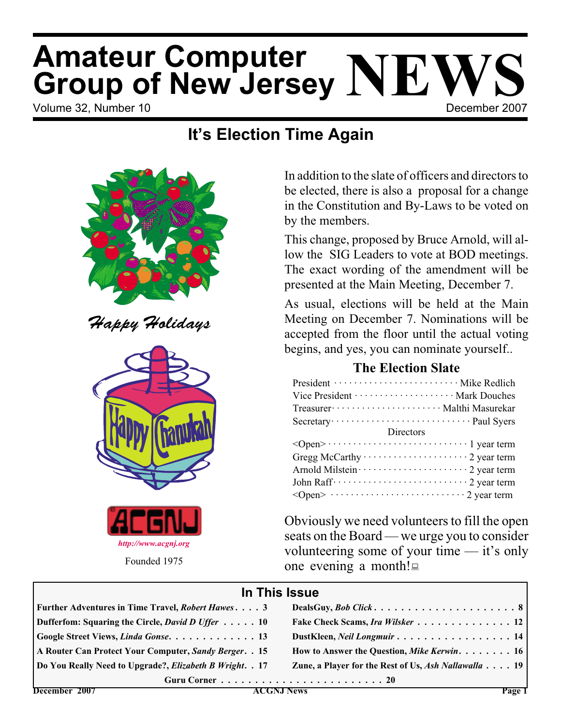# **Amateur Computer<br>Group of New Jersey NEWS**<br>Volume 32, Number 10 **Amateur Computer**

# **It's Election Time Again**



Happy Holidays





In addition to the slate of officers and directors to be elected, there is also a proposal for a change in the Constitution and By-Laws to be voted on by the members.

This change, proposed by Bruce Arnold, will allow the SIG Leaders to vote at BOD meetings. The exact wording of the amendment will be presented at the Main Meeting, December 7.

As usual, elections will be held at the Main Meeting on December 7. Nominations will be accepted from the floor until the actual voting begins, and yes, you can nominate yourself..

# **The Election Slate**

| President ································ Mike Redlich                                                                                                                                                                                                                                                                              |
|--------------------------------------------------------------------------------------------------------------------------------------------------------------------------------------------------------------------------------------------------------------------------------------------------------------------------------------|
|                                                                                                                                                                                                                                                                                                                                      |
| Treasurer ·························· Malthi Masurekar                                                                                                                                                                                                                                                                                |
|                                                                                                                                                                                                                                                                                                                                      |
| Directors                                                                                                                                                                                                                                                                                                                            |
|                                                                                                                                                                                                                                                                                                                                      |
| Gregg McCarthy $\cdots$ $\cdots$ $\cdots$ $\cdots$ $\cdots$ $\cdots$ $\cdots$ $\cdots$ $\cdots$ $\cdots$ $\cdots$ $\cdots$ $\cdots$ $\cdots$ $\cdots$ $\cdots$ $\cdots$ $\cdots$ $\cdots$ $\cdots$ $\cdots$ $\cdots$ $\cdots$ $\cdots$ $\cdots$ $\cdots$ $\cdots$ $\cdots$ $\cdots$ $\cdots$ $\cdots$ $\cdots$ $\cdots$ $\cdots$ $\$ |
|                                                                                                                                                                                                                                                                                                                                      |
|                                                                                                                                                                                                                                                                                                                                      |
|                                                                                                                                                                                                                                                                                                                                      |

Obviously we need volunteers to fill the open seats on the Board — we urge you to consider volunteering some of your time — it's only one evening a month!

# **In This Issue**

| Further Adventures in Time Travel, <i>Robert Hawes.</i> 3                |                                                      |
|--------------------------------------------------------------------------|------------------------------------------------------|
| Dufferfom: Squaring the Circle, <i>David D Uffer</i> 10                  | Fake Check Scams, Ira Wilsker 12                     |
| Google Street Views, Linda Gonse 13                                      | DustKleen, Neil Longmuir 14                          |
| A Router Can Protect Your Computer, Sandy Berger. . 15                   | How to Answer the Question, Mike Kerwin. 16          |
| Do You Really Need to Upgrade?, <i>Elizabeth B Wright.</i> . 17          | Zune, a Player for the Rest of Us, Ash Nallawalla 19 |
| Guru Corner $\ldots \ldots \ldots \ldots \ldots \ldots \ldots \ldots 20$ |                                                      |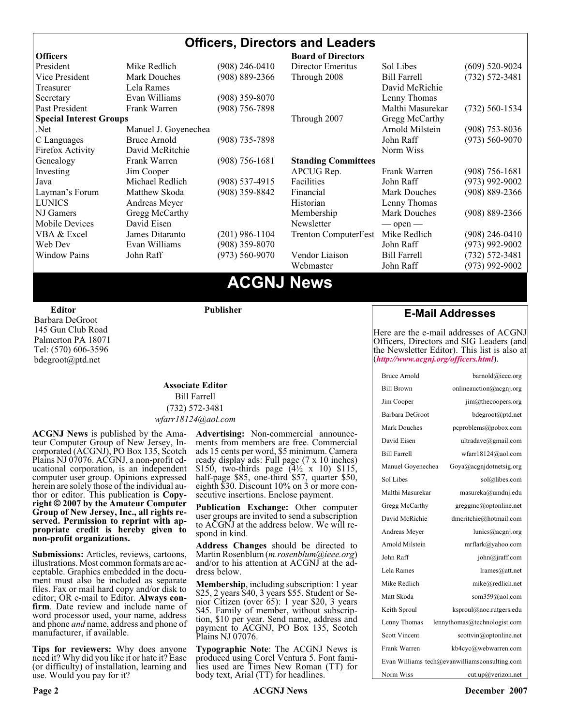# **Officers, Directors and Leaders**

| <b>Officers</b>                |                      |                    | <b>Board of Directors</b>   |                     |                    |
|--------------------------------|----------------------|--------------------|-----------------------------|---------------------|--------------------|
| President                      | Mike Redlich         | $(908)$ 246-0410   | Director Emeritus           | Sol Libes           | $(609)$ 520-9024   |
| Vice President                 | <b>Mark Douches</b>  | (908) 889-2366     | Through 2008                | <b>Bill Farrell</b> | $(732) 572 - 3481$ |
| Treasurer                      | Lela Rames           |                    |                             | David McRichie      |                    |
| Secretary                      | Evan Williams        | $(908)$ 359-8070   |                             | Lenny Thomas        |                    |
| Past President                 | Frank Warren         | (908) 756-7898     |                             | Malthi Masurekar    | $(732)$ 560-1534   |
| <b>Special Interest Groups</b> |                      |                    | Through 2007                | Gregg McCarthy      |                    |
| Net.                           | Manuel J. Goyenechea |                    |                             | Arnold Milstein     | $(908)$ 753-8036   |
| C Languages                    | Bruce Arnold         | $(908)$ 735-7898   |                             | John Raff           | $(973) 560 - 9070$ |
| Firefox Activity               | David McRitchie      |                    |                             | Norm Wiss           |                    |
| Genealogy                      | Frank Warren         | $(908) 756 - 1681$ | <b>Standing Committees</b>  |                     |                    |
| Investing                      | Jim Cooper           |                    | APCUG Rep.                  | Frank Warren        | $(908)$ 756-1681   |
| Java                           | Michael Redlich      | $(908)$ 537-4915   | Facilities                  | John Raff           | $(973)$ 992-9002   |
| Layman's Forum                 | Matthew Skoda        | $(908)$ 359-8842   | Financial                   | <b>Mark Douches</b> | $(908) 889 - 2366$ |
| <b>LUNICS</b>                  | Andreas Meyer        |                    | Historian                   | Lenny Thomas        |                    |
| NJ Gamers                      | Gregg McCarthy       |                    | Membership                  | <b>Mark Douches</b> | $(908) 889 - 2366$ |
| Mobile Devices                 | David Eisen          |                    | Newsletter                  | $-$ open $-$        |                    |
| VBA & Excel                    | James Ditaranto      | (201) 986-1104     | <b>Trenton ComputerFest</b> | Mike Redlich        | (908) 246-0410     |
| Web Dev                        | Evan Williams        | (908) 359-8070     |                             | John Raff           | $(973)$ 992-9002   |
| <b>Window Pains</b>            | John Raff            | $(973) 560 - 9070$ | Vendor Liaison              | <b>Bill Farrell</b> | $(732) 572 - 3481$ |
|                                |                      |                    | Webmaster                   | John Raff           | (973) 992-9002     |
|                                |                      |                    |                             |                     |                    |

# **ACGNJ News**

**Editor**

Barbara DeGroot 145 Gun Club Road Palmerton PA 18071 Tel: (570) 606-3596 bdegroot@ptd.net

# **Associate Editor** Bill Farrell

**Publisher**

(732) 572-3481 *wfarr18124@aol.com*

**ACGNJ News** is published by the Amateur Computer Group of New Jersey, Incorporated (ACGNJ), PO Box 135, Scotch Plains NJ 07076. ACGNJ, a non-profit educational corporation, is an independent computer user group. Opinions expressed<br>herein are solely those of the individual author or editor. This publication is **Copy-**<br>right © 2007 by the Amateur Computer<br>Group of New Jersey, Inc., all rights re-**Group of New Jersey, Inc., all rights re- served. Permission to reprint with ap- propriate credit is hereby given to non-profit organizations.**

**Submissions:** Articles, reviews, cartoons, illustrations. Most common formats are acceptable. Graphics embedded in the docu-<br>ment must also be included as separate files. Fax or mail hard copy and/or disk to editor: OR e-mail to Editor. **Always con**firm. Date review and include name of word processor used, your name, address and phone *and* name, address and phone of manufacturer, if available.

**Tips for reviewers:** Why does anyone need it? Why did you like it or hate it? Ease (or difficulty) of installation, learning and use. Would you pay for it?

**Advertising:** Non-commercial announce- ments from members are free. Commercial ads 15 cents per word, \$5 minimum. Camera ready display ads: Full page (7 x 10 inches) \$150, two-thirds page  $(4\frac{1}{2} \times 10)$  \$115, half-page \$85, one-third \$57, quarter \$50, eighth \$30. Discount 10% on 3 or more con- secutive insertions. Enclose payment.

**Publication Exchange:** Other computer user groups are invited to send a subscription to ACGNJ at the address below. We will re- spond in kind.

**Address Changes** should be directed to Martin Rosenblum (*m.rosenblum@ieee.org*) and/or to his attention at ACGNJ at the ad- dress below.

**Membership**, including subscription: 1 year \$25, 2 years \$40, 3 years \$55. Student or Senior Citizen (over 65): 1 year \$20, 3 years \$45. Family of member, without subscription, \$10 per year. Send name, address and payment to ACGNJ, PO Box 135, Scotch Plains NJ 07076.

**Typographic Note**: The ACGNJ News is produced using Corel Ventura 5. Font fami- lies used are Times New Roman (TT) for body text, Arial (TT) for headlines.

### **E-Mail Addresses**

Here are the e-mail addresses of ACGNJ Officers, Directors and SIG Leaders (and the Newsletter Editor). This list is also at (*<http://www.acgnj.org/officers.html>*).

| <b>Bruce Arnold</b>  | barnold@ieee.org                              |
|----------------------|-----------------------------------------------|
| <b>Bill Brown</b>    | onlineauction@acgnj.org                       |
| Jim Cooper           | jim@thecoopers.org                            |
| Barbara DeGroot      | bdegroot@ptd.net                              |
| Mark Douches         | pcproblems@pobox.com                          |
| David Eisen          | ultradave@gmail.com                           |
| <b>Bill Farrell</b>  | wfarr18124@aol.com                            |
| Manuel Goyenechea    | Goya@acgnjdotnetsig.org                       |
| Sol Libes            | sol@libes.com                                 |
| Malthi Masurekar     | masureka@umdnj.edu                            |
| Gregg McCarthy       | greggmc@optonline.net                         |
| David McRichie       | dmcritchie@hotmail.com                        |
| Andreas Meyer        | lunics@acgnj.org                              |
| Arnold Milstein      | mrflark@yahoo.com                             |
| John Raff            | john@jraff.com                                |
| Lela Rames           | lrames@att.net                                |
| Mike Redlich         | mike@redlich.net                              |
| Matt Skoda           | som359@aol.com                                |
| Keith Sproul         | ksproul@noc.rutgers.edu                       |
| Lenny Thomas         | lennythomas@technologist.com                  |
| <b>Scott Vincent</b> | scottvin@optonline.net                        |
| Frank Warren         | kb4cyc@webwarren.com                          |
|                      | Evan Williams tech@evanwilliamsconsulting.com |
| Norm Wiss            | cut.up@verizon.net                            |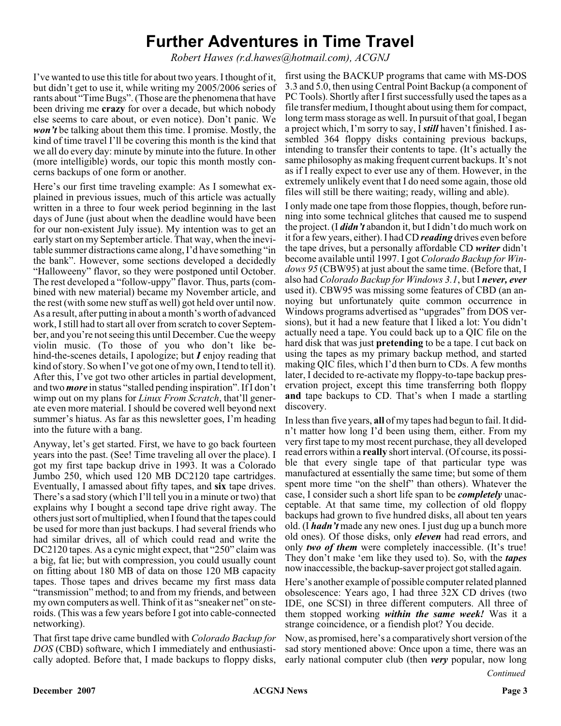# **Further Adventures in Time Travel**

*Robert Hawes (r.d.hawes@hotmail.com), ACGNJ*

I've wanted to use this title for about two years. I thought of it, but didn't get to use it, while writing my 2005/2006 series of rants about "Time Bugs". (Those are the phenomena that have been driving me **crazy** for over a decade, but which nobody else seems to care about, or even notice). Don't panic. We *won't* be talking about them this time. I promise. Mostly, the kind of time travel I'll be covering this month is the kind that we all do every day: minute by minute into the future. In other (more intelligible) words, our topic this month mostly concerns backups of one form or another.

Here's our first time traveling example: As I somewhat explained in previous issues, much of this article was actually written in a three to four week period beginning in the last days of June (just about when the deadline would have been for our non-existent July issue). My intention was to get an early start on my September article. That way, when the inevitable summer distractions came along, I'd have something "in the bank". However, some sections developed a decidedly "Halloweeny" flavor, so they were postponed until October. The rest developed a "follow-uppy" flavor. Thus, parts (combined with new material) became my November article, and the rest (with some new stuff as well) got held over until now. As a result, after putting in about a month's worth of advanced work, I still had to start all over from scratch to cover September, and you're not seeing this until December. Cue the weepy violin music. (To those of you who don't like behind-the-scenes details, I apologize; but *I* enjoy reading that kind of story. So when I've got one of my own, I tend to tell it). After this, I've got two other articles in partial development, and two *more* in status "stalled pending inspiration". If I don't wimp out on my plans for *Linux From Scratch*, that'll generate even more material. I should be covered well beyond next summer's hiatus. As far as this newsletter goes, I'm heading into the future with a bang.

Anyway, let's get started. First, we have to go back fourteen years into the past. (See! Time traveling all over the place). I got my first tape backup drive in 1993. It was a Colorado Jumbo 250, which used 120 MB DC2120 tape cartridges. Eventually, I amassed about fifty tapes, and **six** tape drives. There's a sad story (which I'll tell you in a minute or two) that explains why I bought a second tape drive right away. The others just sort of multiplied, when I found that the tapes could be used for more than just backups. I had several friends who had similar drives, all of which could read and write the DC2120 tapes. As a cynic might expect, that "250" claim was a big, fat lie; but with compression, you could usually count on fitting about 180 MB of data on those 120 MB capacity tapes. Those tapes and drives became my first mass data "transmission" method; to and from my friends, and between my own computers as well. Think of it as "sneaker net" on steroids. (This was a few years before I got into cable-connected networking).

That first tape drive came bundled with *Colorado Backup for DOS* (CBD) software, which I immediately and enthusiastically adopted. Before that, I made backups to floppy disks,

first using the BACKUP programs that came with MS-DOS 3.3 and 5.0, then using Central Point Backup (a component of PC Tools). Shortly after I first successfully used the tapes as a file transfer medium, I thought about using them for compact, long term mass storage as well. In pursuit of that goal, I began a project which, I'm sorry to say, I *still* haven't finished. I assembled 364 floppy disks containing previous backups, intending to transfer their contents to tape. (It's actually the same philosophy as making frequent current backups. It's not as if I really expect to ever use any of them. However, in the extremely unlikely event that I do need some again, those old files will still be there waiting; ready, willing and able).

I only made one tape from those floppies, though, before running into some technical glitches that caused me to suspend the project. (I *didn't* abandon it, but I didn't do much work on it for a few years, either). I had CD *reading* drives even before the tape drives, but a personally affordable CD *writer* didn't become available until 1997. I got *Colorado Backup for Windows 95* (CBW95) at just about the same time. (Before that, I also had *Colorado Backup for Windows 3.1*, but I *never, ever* used it). CBW95 was missing some features of CBD (an annoying but unfortunately quite common occurrence in Windows programs advertised as "upgrades" from DOS versions), but it had a new feature that I liked a lot: You didn't actually need a tape. You could back up to a QIC file on the hard disk that was just **pretending** to be a tape. I cut back on using the tapes as my primary backup method, and started making QIC files, which I'd then burn to CDs. A few months later, I decided to re-activate my floppy-to-tape backup preservation project, except this time transferring both floppy **and** tape backups to CD. That's when I made a startling discovery.

In less than five years, **all** of my tapes had begun to fail. It didn't matter how long I'd been using them, either. From my very first tape to my most recent purchase, they all developed read errors within a **really** short interval. (Of course, its possible that every single tape of that particular type was manufactured at essentially the same time; but some of them spent more time "on the shelf" than others). Whatever the case, I consider such a short life span to be *completely* unacceptable. At that same time, my collection of old floppy backups had grown to five hundred disks, all about ten years old. (I *hadn't* made any new ones. I just dug up a bunch more old ones). Of those disks, only *eleven* had read errors, and only *two of them* were completely inaccessible. (It's true! They don't make 'em like they used to). So, with the *tapes* now inaccessible, the backup-saver project got stalled again.

Here's another example of possible computer related planned obsolescence: Years ago, I had three 32X CD drives (two IDE, one SCSI) in three different computers. All three of them stopped working *within the same week!* Was it a strange coincidence, or a fiendish plot? You decide.

Now, as promised, here's a comparatively short version of the sad story mentioned above: Once upon a time, there was an early national computer club (then *very* popular, now long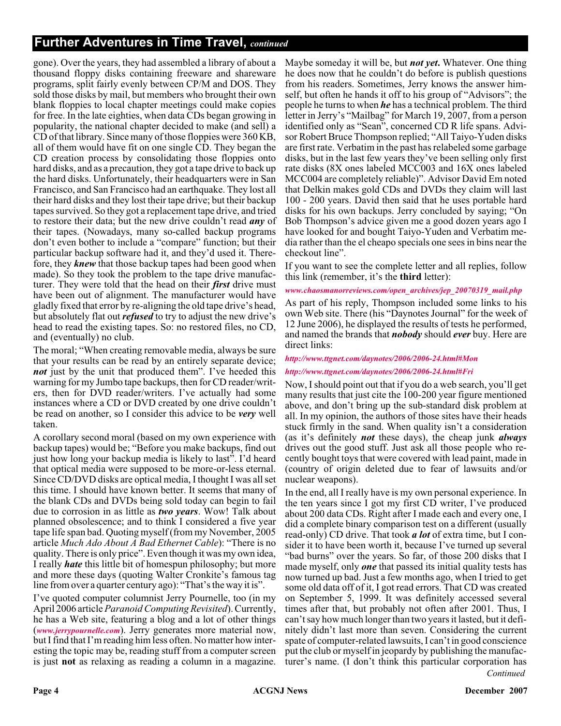## **Further Adventures in Time Travel,** *continued*

gone). Over the years, they had assembled a library of about a thousand floppy disks containing freeware and shareware programs, split fairly evenly between CP/M and DOS. They sold those disks by mail, but members who brought their own blank floppies to local chapter meetings could make copies for free. In the late eighties, when data CDs began growing in popularity, the national chapter decided to make (and sell) a CD of that library. Since many of those floppies were 360 KB, all of them would have fit on one single CD. They began the CD creation process by consolidating those floppies onto hard disks, and as a precaution, they got a tape drive to back up the hard disks. Unfortunately, their headquarters were in San Francisco, and San Francisco had an earthquake. They lost all their hard disks and they lost their tape drive; but their backup tapes survived. So they got a replacement tape drive, and tried to restore their data; but the new drive couldn't read *any* of their tapes. (Nowadays, many so-called backup programs don't even bother to include a "compare" function; but their particular backup software had it, and they'd used it. Therefore, they *knew* that those backup tapes had been good when made). So they took the problem to the tape drive manufacturer. They were told that the head on their *first* drive must have been out of alignment. The manufacturer would have gladly fixed that error by re-aligning the old tape drive's head, but absolutely flat out *refused* to try to adjust the new drive's head to read the existing tapes. So: no restored files, no CD, and (eventually) no club.

The moral; "When creating removable media, always be sure that your results can be read by an entirely separate device; *not* just by the unit that produced them". I've heeded this warning for my Jumbo tape backups, then for CD reader/writers, then for DVD reader/writers. I've actually had some instances where a CD or DVD created by one drive couldn't be read on another, so I consider this advice to be *very* well taken.

A corollary second moral (based on my own experience with backup tapes) would be; "Before you make backups, find out just how long your backup media is likely to last". I'd heard that optical media were supposed to be more-or-less eternal. Since CD/DVD disks are optical media, I thought I was all set this time. I should have known better. It seems that many of the blank CDs and DVDs being sold today can begin to fail due to corrosion in as little as *two years*. Wow! Talk about planned obsolescence; and to think I considered a five year tape life span bad. Quoting myself (from my November, 2005 article *Much Ado About A Bad Ethernet Cable*): "There is no quality. There is only price". Even though it was my own idea, I really *hate* this little bit of homespun philosophy; but more and more these days (quoting Walter Cronkite's famous tag line from over a quarter century ago): "That's the way it is".

I've quoted computer columnist Jerry Pournelle, too (in my April 2006 article*Paranoid Computing Revisited*). Currently, he has a Web site, featuring a blog and a lot of other things (*[www.jerrypournelle.com](http://www.jerrypournelle.com)*). Jerry generates more material now, but I find that I'm reading him less often. No matter how interesting the topic may be, reading stuff from a computer screen is just **not** as relaxing as reading a column in a magazine.

Maybe someday it will be, but *not yet***.** Whatever. One thing he does now that he couldn't do before is publish questions from his readers. Sometimes, Jerry knows the answer himself, but often he hands it off to his group of "Advisors"; the people he turns to when *he* has a technical problem. The third letter in Jerry's "Mailbag" for March 19, 2007, from a person identified only as "Sean", concerned CD R life spans. Advisor Robert Bruce Thompson replied; "All Taiyo-Yuden disks are first rate. Verbatim in the past has relabeled some garbage disks, but in the last few years they've been selling only first rate disks (8X ones labeled MCC003 and 16X ones labeled MCC004 are completely reliable)". Advisor David Em noted that Delkin makes gold CDs and DVDs they claim will last 100 - 200 years. David then said that he uses portable hard disks for his own backups. Jerry concluded by saying; "On Bob Thompson's advice given me a good dozen years ago I have looked for and bought Taiyo-Yuden and Verbatim media rather than the el cheapo specials one sees in bins near the checkout line".

If you want to see the complete letter and all replies, follow this link (remember, it's the **third** letter):

*[www.chaosmanorreviews.com/open\\_archives/jep\\_20070319\\_mail.php](http://www.chaosmanorreviews.com/open_archives/jep_20070319_mail.php)*

As part of his reply, Thompson included some links to his own Web site. There (his "Daynotes Journal" for the week of 12 June 2006), he displayed the results of tests he performed, and named the brands that *nobody* should *ever* buy. Here are direct links:

#### *<http://www.ttgnet.com/daynotes/2006/2006-24.html#Mon>*

#### *<http://www.ttgnet.com/daynotes/2006/2006-24.html#Fri>*

Now, I should point out that if you do a web search, you'll get many results that just cite the 100-200 year figure mentioned above, and don't bring up the sub-standard disk problem at all. In my opinion, the authors of those sites have their heads stuck firmly in the sand. When quality isn't a consideration (as it's definitely *not* these days), the cheap junk *always* drives out the good stuff. Just ask all those people who recently bought toys that were covered with lead paint, made in (country of origin deleted due to fear of lawsuits and/or nuclear weapons).

*Continued* In the end, all I really have is my own personal experience. In the ten years since I got my first CD writer, I've produced about 200 data CDs. Right after I made each and every one, I did a complete binary comparison test on a different (usually read-only) CD drive. That took *a lot* of extra time, but I consider it to have been worth it, because I've turned up several "bad burns" over the years. So far, of those 200 disks that I made myself, only *one* that passed its initial quality tests has now turned up bad. Just a few months ago, when I tried to get some old data off of it, I got read errors. That CD was created on September 5, 1999. It was definitely accessed several times after that, but probably not often after 2001. Thus, I can't say how much longer than two years it lasted, but it definitely didn't last more than seven. Considering the current spate of computer-related lawsuits, I can't in good conscience put the club or myself in jeopardy by publishing the manufacturer's name. (I don't think this particular corporation has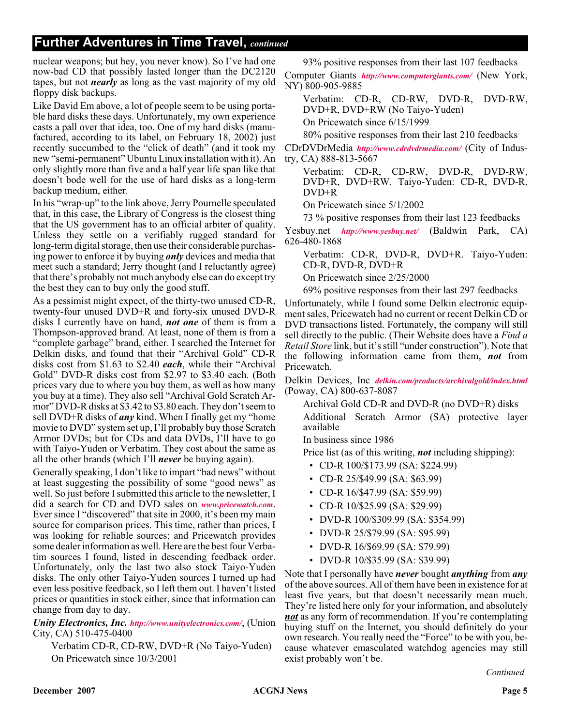## **Further Adventures in Time Travel,** *continued*

nuclear weapons; but hey, you never know). So I've had one now-bad CD that possibly lasted longer than the DC2120 tapes, but not *nearly* as long as the vast majority of my old floppy disk backups.

Like David Em above, a lot of people seem to be using portable hard disks these days. Unfortunately, my own experience casts a pall over that idea, too. One of my hard disks (manufactured, according to its label, on February 18, 2002) just recently succumbed to the "click of death" (and it took my new "semi-permanent" Ubuntu Linux installation with it). An only slightly more than five and a half year life span like that doesn't bode well for the use of hard disks as a long-term backup medium, either.

In his "wrap-up" to the link above, Jerry Pournelle speculated that, in this case, the Library of Congress is the closest thing that the US government has to an official arbiter of quality. Unless they settle on a verifiably rugged standard for long-term digital storage, then use their considerable purchasing power to enforce it by buying *only* devices and media that meet such a standard; Jerry thought (and I reluctantly agree) that there's probably not much anybody else can do except try the best they can to buy only the good stuff.

As a pessimist might expect, of the thirty-two unused CD-R, twenty-four unused DVD+R and forty-six unused DVD-R disks I currently have on hand, *not one* of them is from a Thompson-approved brand. At least, none of them is from a "complete garbage" brand, either. I searched the Internet for Delkin disks, and found that their "Archival Gold" CD-R disks cost from \$1.63 to \$2.40 *each*, while their "Archival Gold" DVD-R disks cost from \$2.97 to \$3.40 each. (Both prices vary due to where you buy them, as well as how many you buy at a time). They also sell "Archival Gold Scratch Armor" DVD-R disks at \$3.42 to \$3.80 each. They don't seem to sell DVD+R disks of *any* kind. When I finally get my "home movie to DVD" system set up, I'll probably buy those Scratch Armor DVDs; but for CDs and data DVDs, I'll have to go with Taiyo-Yuden or Verbatim. They cost about the same as all the other brands (which I'll *never* be buying again).

Generally speaking, I don't like to impart "bad news" without at least suggesting the possibility of some "good news" as well. So just before I submitted this article to the newsletter, I did a search for CD and DVD sales on *[www.pricewatch.com](http://www.pricewatch.com)*. Ever since I "discovered" that site in 2000, it's been my main source for comparison prices. This time, rather than prices, I was looking for reliable sources; and Pricewatch provides some dealer information as well. Here are the best four Verbatim sources I found, listed in descending feedback order. Unfortunately, only the last two also stock Taiyo-Yuden disks. The only other Taiyo-Yuden sources I turned up had even less positive feedback, so I left them out. I haven't listed prices or quantities in stock either, since that information can change from day to day.

*Unity Electronics, Inc. <http://www.unityelectronics.com/>*, (Union City, CA) 510-475-0400

Verbatim CD-R, CD-RW, DVD+R (No Taiyo-Yuden) On Pricewatch since 10/3/2001

93% positive responses from their last 107 feedbacks

Computer Giants *<http://www.computergiants.com/>* (New York, NY) 800-905-9885

Verbatim: CD-R, CD-RW, DVD-R, DVD-RW, DVD+R, DVD+RW (No Taiyo-Yuden)

On Pricewatch since 6/15/1999

80% positive responses from their last 210 feedbacks

CDrDVDrMedia *<http://www.cdrdvdrmedia.com/>* (City of Industry, CA) 888-813-5667

Verbatim: CD-R, CD-RW, DVD-R, DVD-RW, DVD+R, DVD+RW. Taiyo-Yuden: CD-R, DVD-R, DVD+R

On Pricewatch since 5/1/2002

73 % positive responses from their last 123 feedbacks

Yesbuy.net *<http://www.yesbuy.net/>* (Baldwin Park, CA) 626-480-1868

Verbatim: CD-R, DVD-R, DVD+R. Taiyo-Yuden: CD-R, DVD-R, DVD+R

On Pricewatch since 2/25/2000

69% positive responses from their last 297 feedbacks

Unfortunately, while I found some Delkin electronic equipment sales, Pricewatch had no current or recent Delkin CD or DVD transactions listed. Fortunately, the company will still sell directly to the public. (Their Website does have a *Find a Retail Store* link, but it's still "under construction"). Note that the following information came from them, *not* from Pricewatch.

Delkin Devices, Inc *<delkin.com/products/archivalgold/index.html>* (Poway, CA) 800-637-8087

Archival Gold CD-R and DVD-R (no DVD+R) disks Additional Scratch Armor (SA) protective layer available

In business since 1986

Price list (as of this writing, *not* including shipping):

- CD-R 100/\$173.99 (SA: \$224.99)
- CD-R 25/\$49.99 (SA: \$63.99)
- CD-R 16/\$47.99 (SA: \$59.99)
- CD-R 10/\$25.99 (SA: \$29.99)
- DVD-R 100/\$309.99 (SA: \$354.99)
- DVD-R 25/\$79.99 (SA: \$95.99)
- DVD-R 16/\$69.99 (SA: \$79.99)
- DVD-R 10/\$35.99 (SA: \$39.99)

Note that I personally have *never* bought *anything* from *any* of the above sources. All of them have been in existence for at least five years, but that doesn't necessarily mean much. They're listed here only for your information, and absolutely *not* as any form of recommendation. If you're contemplating buying stuff on the Internet, you should definitely do your own research. You really need the "Force" to be with you, because whatever emasculated watchdog agencies may still exist probably won't be.

*Continued*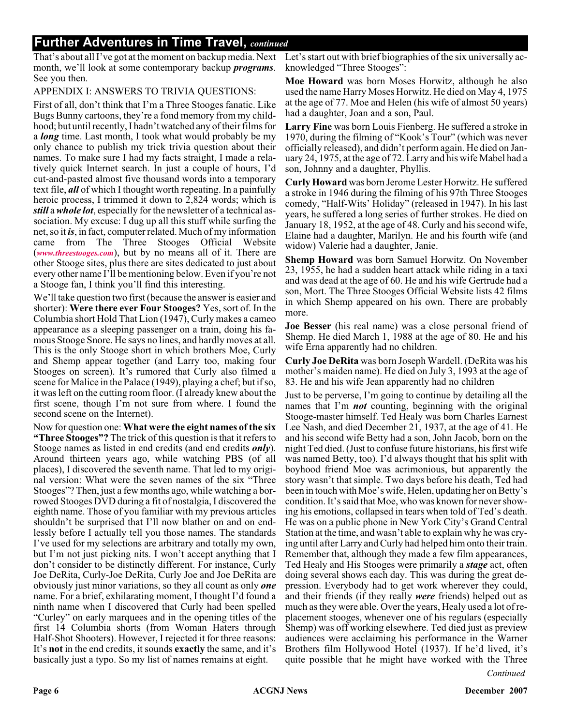## **Further Adventures in Time Travel,** *continued*

That's about all I've got at the moment on backup media. Next month, we'll look at some contemporary backup *programs*. See you then.

#### APPENDIX I: ANSWERS TO TRIVIA QUESTIONS:

First of all, don't think that I'm a Three Stooges fanatic. Like Bugs Bunny cartoons, they're a fond memory from my childhood; but until recently, I hadn't watched any of their films for a *long* time. Last month, I took what would probably be my only chance to publish my trick trivia question about their names. To make sure I had my facts straight, I made a relatively quick Internet search. In just a couple of hours, I'd cut-and-pasted almost five thousand words into a temporary text file, *all* of which I thought worth repeating. In a painfully heroic process, I trimmed it down to 2,824 words; which is *still* a*whole lot*, especially for the newsletter of a technical association. My excuse: I dug up all this stuff while surfing the net, so it *is*, in fact, computer related. Much of my information came from The Three Stooges Official Website (*[www.threestooges.com](http://www.threestooges.com)*), but by no means all of it. There are other Stooge sites, plus there are sites dedicated to just about every other name I'll be mentioning below. Even if you're not a Stooge fan, I think you'll find this interesting.

We'll take question two first (because the answer is easier and shorter): **Were there ever Four Stooges?** Yes, sort of. In the Columbia short Hold That Lion (1947), Curly makes a cameo appearance as a sleeping passenger on a train, doing his famous Stooge Snore. He says no lines, and hardly moves at all. This is the only Stooge short in which brothers Moe, Curly and Shemp appear together (and Larry too, making four Stooges on screen). It's rumored that Curly also filmed a scene for Malice in the Palace (1949), playing a chef; but if so, it was left on the cutting room floor. (I already knew about the first scene, though I'm not sure from where. I found the second scene on the Internet).

Now for question one: **What were the eight names of the six "Three Stooges"?** The trick of this question is that it refers to Stooge names as listed in end credits (and end credits *only*). Around thirteen years ago, while watching PBS (of all places), I discovered the seventh name. That led to my original version: What were the seven names of the six "Three Stooges"? Then, just a few months ago, while watching a borrowed Stooges DVD during a fit of nostalgia, I discovered the eighth name. Those of you familiar with my previous articles shouldn't be surprised that I'll now blather on and on endlessly before I actually tell you those names. The standards I've used for my selections are arbitrary and totally my own, but I'm not just picking nits. I won't accept anything that I don't consider to be distinctly different. For instance, Curly Joe DeRita, Curly-Joe DeRita, Curly Joe and Joe DeRita are obviously just minor variations, so they all count as only *one* name. For a brief, exhilarating moment, I thought I'd found a ninth name when I discovered that Curly had been spelled "Curley" on early marquees and in the opening titles of the first 14 Columbia shorts (from Woman Haters through Half-Shot Shooters). However, I rejected it for three reasons: It's **not** in the end credits, it sounds **exactly** the same, and it's basically just a typo. So my list of names remains at eight.

Let's start out with brief biographies of the six universally acknowledged "Three Stooges":

**Moe Howard** was born Moses Horwitz, although he also used the name Harry Moses Horwitz. He died on May 4, 1975 at the age of 77. Moe and Helen (his wife of almost 50 years) had a daughter, Joan and a son, Paul.

**Larry Fine** was born Louis Fienberg. He suffered a stroke in 1970, during the filming of "Kook's Tour" (which was never officially released), and didn't perform again. He died on January 24, 1975, at the age of 72. Larry and his wife Mabel had a son, Johnny and a daughter, Phyllis.

**Curly Howard** was born Jerome Lester Horwitz. He suffered a stroke in 1946 during the filming of his 97th Three Stooges comedy, "Half-Wits' Holiday" (released in 1947). In his last years, he suffered a long series of further strokes. He died on January 18, 1952, at the age of 48. Curly and his second wife, Elaine had a daughter, Marilyn. He and his fourth wife (and widow) Valerie had a daughter, Janie.

**Shemp Howard** was born Samuel Horwitz. On November 23, 1955, he had a sudden heart attack while riding in a taxi and was dead at the age of 60. He and his wife Gertrude had a son, Mort. The Three Stooges Official Website lists 42 films in which Shemp appeared on his own. There are probably more.

**Joe Besser** (his real name) was a close personal friend of Shemp. He died March 1, 1988 at the age of 80. He and his wife Erna apparently had no children.

**Curly Joe DeRita** was born Joseph Wardell. (DeRita was his mother's maiden name). He died on July 3, 1993 at the age of 83. He and his wife Jean apparently had no children

Just to be perverse, I'm going to continue by detailing all the names that I'm *not* counting, beginning with the original Stooge-master himself. Ted Healy was born Charles Earnest Lee Nash, and died December 21, 1937, at the age of 41. He and his second wife Betty had a son, John Jacob, born on the night Ted died. (Just to confuse future historians, his first wife was named Betty, too). I'd always thought that his split with boyhood friend Moe was acrimonious, but apparently the story wasn't that simple. Two days before his death, Ted had been in touch with Moe's wife, Helen, updating her on Betty's condition. It's said that Moe, who was known for never showing his emotions, collapsed in tears when told of Ted's death. He was on a public phone in New York City's Grand Central Station at the time, and wasn't able to explain why he was crying until after Larry and Curly had helped him onto their train. Remember that, although they made a few film appearances, Ted Healy and His Stooges were primarily a *stage* act, often doing several shows each day. This was during the great depression. Everybody had to get work wherever they could, and their friends (if they really *were* friends) helped out as much as they were able. Over the years, Healy used a lot of replacement stooges, whenever one of his regulars (especially Shemp) was off working elsewhere. Ted died just as preview audiences were acclaiming his performance in the Warner Brothers film Hollywood Hotel (1937). If he'd lived, it's quite possible that he might have worked with the Three

*Continued*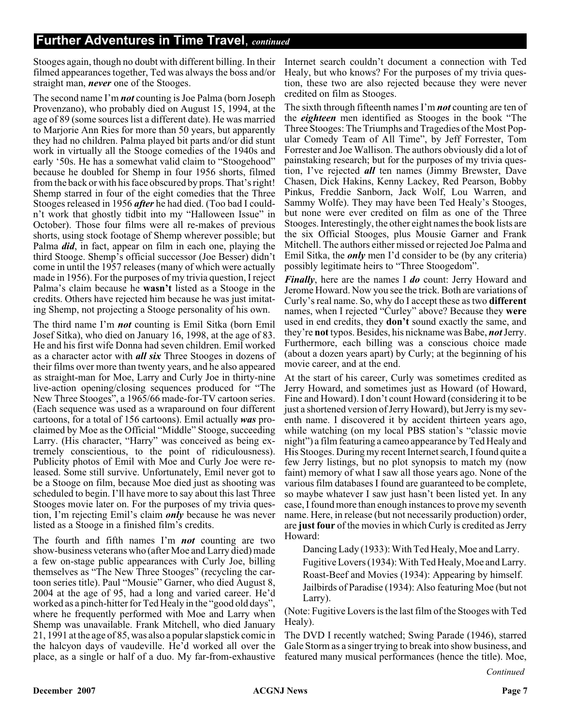Stooges again, though no doubt with different billing. In their filmed appearances together, Ted was always the boss and/or straight man, *never* one of the Stooges.

The second name I'm *not* counting is Joe Palma (born Joseph Provenzano), who probably died on August 15, 1994, at the age of 89 (some sources list a different date). He was married to Marjorie Ann Ries for more than 50 years, but apparently they had no children. Palma played bit parts and/or did stunt work in virtually all the Stooge comedies of the 1940s and early '50s. He has a somewhat valid claim to "Stoogehood" because he doubled for Shemp in four 1956 shorts, filmed from the back or with his face obscured by props. That's right! Shemp starred in four of the eight comedies that the Three Stooges released in 1956 *after* he had died. (Too bad I couldn't work that ghostly tidbit into my "Halloween Issue" in October). Those four films were all re-makes of previous shorts, using stock footage of Shemp wherever possible; but Palma *did*, in fact, appear on film in each one, playing the third Stooge. Shemp's official successor (Joe Besser) didn't come in until the 1957 releases (many of which were actually made in 1956). For the purposes of my trivia question, I reject Palma's claim because he **wasn't** listed as a Stooge in the credits. Others have rejected him because he was just imitating Shemp, not projecting a Stooge personality of his own.

The third name I'm *not* counting is Emil Sitka (born Emil Josef Sitka), who died on January 16, 1998, at the age of 83. He and his first wife Donna had seven children. Emil worked as a character actor with *all six* Three Stooges in dozens of their films over more than twenty years, and he also appeared as straight-man for Moe, Larry and Curly Joe in thirty-nine live-action opening/closing sequences produced for "The New Three Stooges", a 1965/66 made-for-TV cartoon series. (Each sequence was used as a wraparound on four different cartoons, for a total of 156 cartoons). Emil actually *was* proclaimed by Moe as the Official "Middle" Stooge, succeeding Larry. (His character, "Harry" was conceived as being extremely conscientious, to the point of ridiculousness). Publicity photos of Emil with Moe and Curly Joe were released. Some still survive. Unfortunately, Emil never got to be a Stooge on film, because Moe died just as shooting was scheduled to begin. I'll have more to say about this last Three Stooges movie later on. For the purposes of my trivia question, I'm rejecting Emil's claim *only* because he was never listed as a Stooge in a finished film's credits.

The fourth and fifth names I'm *not* counting are two show-business veterans who (after Moe and Larry died) made a few on-stage public appearances with Curly Joe, billing themselves as "The New Three Stooges" (recycling the cartoon series title). Paul "Mousie" Garner, who died August 8, 2004 at the age of 95, had a long and varied career. He'd worked as a pinch-hitter for Ted Healy in the "good old days", where he frequently performed with Moe and Larry when Shemp was unavailable. Frank Mitchell, who died January 21, 1991 at the age of 85, was also a popular slapstick comic in the halcyon days of vaudeville. He'd worked all over the place, as a single or half of a duo. My far-from-exhaustive

Internet search couldn't document a connection with Ted Healy, but who knows? For the purposes of my trivia question, these two are also rejected because they were never credited on film as Stooges.

The sixth through fifteenth names I'm *not* counting are ten of the *eighteen* men identified as Stooges in the book "The Three Stooges: The Triumphs and Tragedies of the Most Popular Comedy Team of All Time", by Jeff Forrester, Tom Forrester and Joe Wallison. The authors obviously did a lot of painstaking research; but for the purposes of my trivia question, I've rejected *all* ten names (Jimmy Brewster, Dave Chasen, Dick Hakins, Kenny Lackey, Red Pearson, Bobby Pinkus, Freddie Sanborn, Jack Wolf, Lou Warren, and Sammy Wolfe). They may have been Ted Healy's Stooges, but none were ever credited on film as one of the Three Stooges. Interestingly, the other eight names the book lists are the six Official Stooges, plus Mousie Garner and Frank Mitchell. The authors either missed or rejected Joe Palma and Emil Sitka, the *only* men I'd consider to be (by any criteria) possibly legitimate heirs to "Three Stoogedom".

*Finally*, here are the names I *do* count: Jerry Howard and Jerome Howard. Now you see the trick. Both are variations of Curly's real name. So, why do I accept these as two **different** names, when I rejected "Curley" above? Because they **were** used in end credits, they **don't** sound exactly the same, and they're **not** typos. Besides, his nickname was Babe, *not*Jerry. Furthermore, each billing was a conscious choice made (about a dozen years apart) by Curly; at the beginning of his movie career, and at the end.

At the start of his career, Curly was sometimes credited as Jerry Howard, and sometimes just as Howard (of Howard, Fine and Howard). I don't count Howard (considering it to be just a shortened version of Jerry Howard), but Jerry is my seventh name. I discovered it by accident thirteen years ago, while watching (on my local PBS station's "classic movie night") a film featuring a cameo appearance by Ted Healy and His Stooges. During my recent Internet search, I found quite a few Jerry listings, but no plot synopsis to match my (now faint) memory of what I saw all those years ago. None of the various film databases I found are guaranteed to be complete, so maybe whatever I saw just hasn't been listed yet. In any case, I found more than enough instances to prove my seventh name. Here, in release (but not necessarily production) order, are **just four** of the movies in which Curly is credited as Jerry Howard:

Dancing Lady (1933): With Ted Healy, Moe and Larry. Fugitive Lovers (1934): With Ted Healy, Moe and Larry. Roast-Beef and Movies (1934): Appearing by himself. Jailbirds of Paradise (1934): Also featuring Moe (but not Larry).

(Note: Fugitive Lovers is the last film of the Stooges with Ted Healy).

The DVD I recently watched; Swing Parade (1946), starred Gale Storm as a singer trying to break into show business, and featured many musical performances (hence the title). Moe,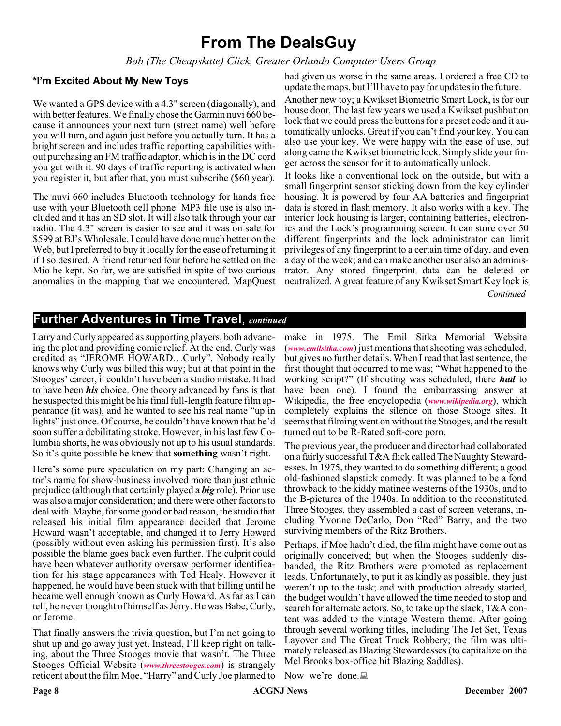# **From The DealsGuy**

*Bob (The Cheapskate) Click, Greater Orlando Computer Users Group*

#### **\*I'm Excited About My New Toys**

We wanted a GPS device with a 4.3" screen (diagonally), and with better features. We finally chose the Garmin nuvi 660 because it announces your next turn (street name) well before you will turn, and again just before you actually turn. It has a bright screen and includes traffic reporting capabilities without purchasing an FM traffic adaptor, which is in the DC cord you get with it. 90 days of traffic reporting is activated when you register it, but after that, you must subscribe (\$60 year).

The nuvi 660 includes Bluetooth technology for hands free use with your Bluetooth cell phone. MP3 file use is also included and it has an SD slot. It will also talk through your car radio. The 4.3" screen is easier to see and it was on sale for \$599 at BJ's Wholesale. I could have done much better on the Web, but I preferred to buy it locally for the ease of returning it if I so desired. A friend returned four before he settled on the Mio he kept. So far, we are satisfied in spite of two curious anomalies in the mapping that we encountered. MapQuest had given us worse in the same areas. I ordered a free CD to update the maps, but I'll have to pay for updates in the future.

Another new toy; a Kwikset Biometric Smart Lock, is for our house door. The last few years we used a Kwikset pushbutton lock that we could press the buttons for a preset code and it automatically unlocks. Great if you can't find your key. You can also use your key. We were happy with the ease of use, but along came the Kwikset biometric lock. Simply slide your finger across the sensor for it to automatically unlock.

It looks like a conventional lock on the outside, but with a small fingerprint sensor sticking down from the key cylinder housing. It is powered by four AA batteries and fingerprint data is stored in flash memory. It also works with a key. The interior lock housing is larger, containing batteries, electronics and the Lock's programming screen. It can store over 50 different fingerprints and the lock administrator can limit privileges of any fingerprint to a certain time of day, and even a day of the week; and can make another user also an administrator. Any stored fingerprint data can be deleted or neutralized. A great feature of any Kwikset Smart Key lock is *Continued*

# **Further Adventures in Time Travel**, *continued*

Larry and Curly appeared as supporting players, both advancing the plot and providing comic relief. At the end, Curly was credited as "JEROME HOWARD…Curly". Nobody really knows why Curly was billed this way; but at that point in the Stooges' career, it couldn't have been a studio mistake. It had to have been *his* choice. One theory advanced by fans is that he suspected this might be his final full-length feature film appearance (it was), and he wanted to see his real name "up in lights" just once. Of course, he couldn't have known that he'd soon suffer a debilitating stroke. However, in his last few Columbia shorts, he was obviously not up to his usual standards. So it's quite possible he knew that **something** wasn't right.

Here's some pure speculation on my part: Changing an actor's name for show-business involved more than just ethnic prejudice (although that certainly played a *big* role). Prior use was also a major consideration; and there were other factors to deal with. Maybe, for some good or bad reason, the studio that released his initial film appearance decided that Jerome Howard wasn't acceptable, and changed it to Jerry Howard (possibly without even asking his permission first). It's also possible the blame goes back even further. The culprit could have been whatever authority oversaw performer identification for his stage appearances with Ted Healy. However it happened, he would have been stuck with that billing until he became well enough known as Curly Howard. As far as I can tell, he never thought of himself as Jerry. He was Babe, Curly, or Jerome.

That finally answers the trivia question, but I'm not going to shut up and go away just yet. Instead, I'll keep right on talking, about the Three Stooges movie that wasn't. The Three Stooges Official Website (*[www.threestooges.com](http://www.threestooges.com)*) is strangely reticent about the film Moe, "Harry" and Curly Joe planned to make in 1975. The Emil Sitka Memorial Website (*[www.emilsitka.com](http://www.emilsitka.com)*) just mentions that shooting was scheduled, but gives no further details. When I read that last sentence, the first thought that occurred to me was; "What happened to the working script?" (If shooting was scheduled, there *had* to have been one). I found the embarrassing answer at Wikipedia, the free encyclopedia (*[www.wikipedia.org](http://www.wikipedia.org)*), which completely explains the silence on those Stooge sites. It seems that filming went on without the Stooges, and the result turned out to be R-Rated soft-core porn.

The previous year, the producer and director had collaborated on a fairly successful T&A flick called The Naughty Stewardesses. In 1975, they wanted to do something different; a good old-fashioned slapstick comedy. It was planned to be a fond throwback to the kiddy matinee westerns of the 1930s, and to the B-pictures of the 1940s. In addition to the reconstituted Three Stooges, they assembled a cast of screen veterans, including Yvonne DeCarlo, Don "Red" Barry, and the two surviving members of the Ritz Brothers.

Perhaps, if Moe hadn't died, the film might have come out as originally conceived; but when the Stooges suddenly disbanded, the Ritz Brothers were promoted as replacement leads. Unfortunately, to put it as kindly as possible, they just weren't up to the task; and with production already started, the budget wouldn't have allowed the time needed to stop and search for alternate actors. So, to take up the slack, T&A content was added to the vintage Western theme. After going through several working titles, including The Jet Set, Texas Layover and The Great Truck Robbery; the film was ultimately released as Blazing Stewardesses (to capitalize on the Mel Brooks box-office hit Blazing Saddles).

Now we're done.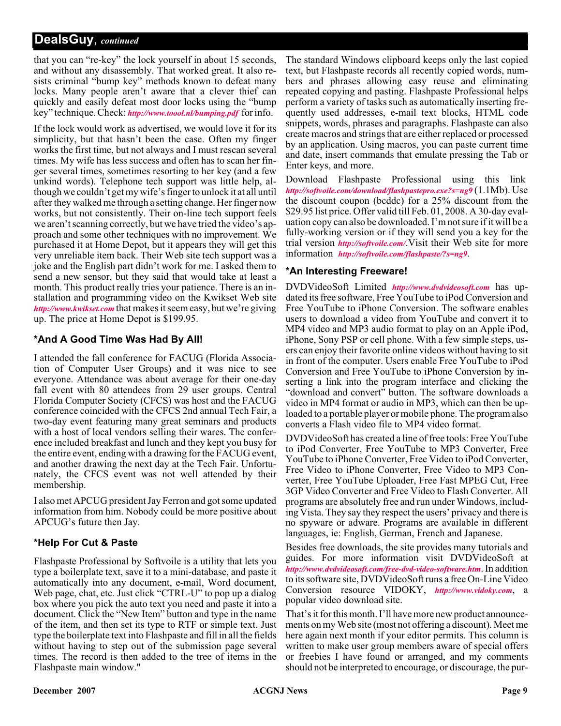that you can "re-key" the lock yourself in about 15 seconds, and without any disassembly. That worked great. It also resists criminal "bump key" methods known to defeat many locks. Many people aren't aware that a clever thief can quickly and easily defeat most door locks using the "bump key" technique. Check: *<http://www.toool.nl/bumping.pdf>* for info.

If the lock would work as advertised, we would love it for its simplicity, but that hasn't been the case. Often my finger works the first time, but not always and I must rescan several times. My wife has less success and often has to scan her finger several times, sometimes resorting to her key (and a few unkind words). Telephone tech support was little help, although we couldn't get my wife's finger to unlock it at all until after they walked me through a setting change. Her finger now works, but not consistently. Their on-line tech support feels we aren't scanning correctly, but we have tried the video's approach and some other techniques with no improvement. We purchased it at Home Depot, but it appears they will get this very unreliable item back. Their Web site tech support was a joke and the English part didn't work for me. I asked them to send a new sensor, but they said that would take at least a month. This product really tries your patience. There is an installation and programming video on the Kwikset Web site *<http://www.kwikset.com>* that makes it seem easy, but we're giving up. The price at Home Depot is \$199.95.

### **\*And A Good Time Was Had By All!**

I attended the fall conference for FACUG (Florida Association of Computer User Groups) and it was nice to see everyone. Attendance was about average for their one-day fall event with 80 attendees from 29 user groups. Central Florida Computer Society (CFCS) was host and the FACUG conference coincided with the CFCS 2nd annual Tech Fair, a two-day event featuring many great seminars and products with a host of local vendors selling their wares. The conference included breakfast and lunch and they kept you busy for the entire event, ending with a drawing for the FACUG event, and another drawing the next day at the Tech Fair. Unfortunately, the CFCS event was not well attended by their membership.

I also met APCUG president Jay Ferron and got some updated information from him. Nobody could be more positive about APCUG's future then Jay.

#### **\*Help For Cut & Paste**

Flashpaste Professional by Softvoile is a utility that lets you type a boilerplate text, save it to a mini-database, and paste it automatically into any document, e-mail, Word document, Web page, chat, etc. Just click "CTRL-U" to pop up a dialog box where you pick the auto text you need and paste it into a document. Click the "New Item" button and type in the name of the item, and then set its type to RTF or simple text. Just type the boilerplate text into Flashpaste and fill in all the fields without having to step out of the submission page several times. The record is then added to the tree of items in the Flashpaste main window."

The standard Windows clipboard keeps only the last copied text, but Flashpaste records all recently copied words, numbers and phrases allowing easy reuse and eliminating repeated copying and pasting. Flashpaste Professional helps perform a variety of tasks such as automatically inserting frequently used addresses, e-mail text blocks, HTML code snippets, words, phrases and paragraphs. Flashpaste can also create macros and strings that are either replaced or processed by an application. Using macros, you can paste current time and date, insert commands that emulate pressing the Tab or Enter keys, and more.

**AntiS**

Download Flashpaste Professional using this link *<http://softvoile.com/download/flashpastepro.exe?s=ng9>* (1.1Mb). Use the discount coupon (bcddc) for a 25% discount from the \$29.95 list price. Offer valid till Feb. 01, 2008. A 30-day evaluation copy can also be downloaded. I'm not sure if it will be a fully-working version or if they will send you a key for the trial version *<http://softvoile.com/>*.Visit their Web site for more information *<http://softvoile.com/flashpaste/?s=ng9>*.

#### **\*An Interesting Freeware!**

DVDVideoSoft Limited *<http://www.dvdvideosoft.com>* has updated its free software, Free YouTube to iPod Conversion and Free YouTube to iPhone Conversion. The software enables users to download a video from YouTube and convert it to MP4 video and MP3 audio format to play on an Apple iPod, iPhone, Sony PSP or cell phone. With a few simple steps, users can enjoy their favorite online videos without having to sit in front of the computer. Users enable Free YouTube to iPod Conversion and Free YouTube to iPhone Conversion by inserting a link into the program interface and clicking the "download and convert" button. The software downloads a video in MP4 format or audio in MP3, which can then be uploaded to a portable player or mobile phone. The program also converts a Flash video file to MP4 video format.

DVDVideoSoft has created a line of free tools: Free YouTube to iPod Converter, Free YouTube to MP3 Converter, Free YouTube to iPhone Converter, Free Video to iPod Converter, Free Video to iPhone Converter, Free Video to MP3 Converter, Free YouTube Uploader, Free Fast MPEG Cut, Free 3GP Video Converter and Free Video to Flash Converter. All programs are absolutely free and run under Windows, including Vista. They say they respect the users' privacy and there is no spyware or adware. Programs are available in different languages, ie: English, German, French and Japanese.

Besides free downloads, the site provides many tutorials and guides. For more information visit DVDVideoSoft at *<http://www.dvdvideosoft.com/free-dvd-video-software.htm>*. In addition to its software site, DVDVideoSoft runs a free On-Line Video Conversion resource VIDOKY, *<http://www.vidoky.com>*, a popular video download site.

That's it for this month. I'll have more new product announcements on my Web site (most not offering a discount). Meet me here again next month if your editor permits. This column is written to make user group members aware of special offers or freebies I have found or arranged, and my comments should not be interpreted to encourage, or discourage, the pur-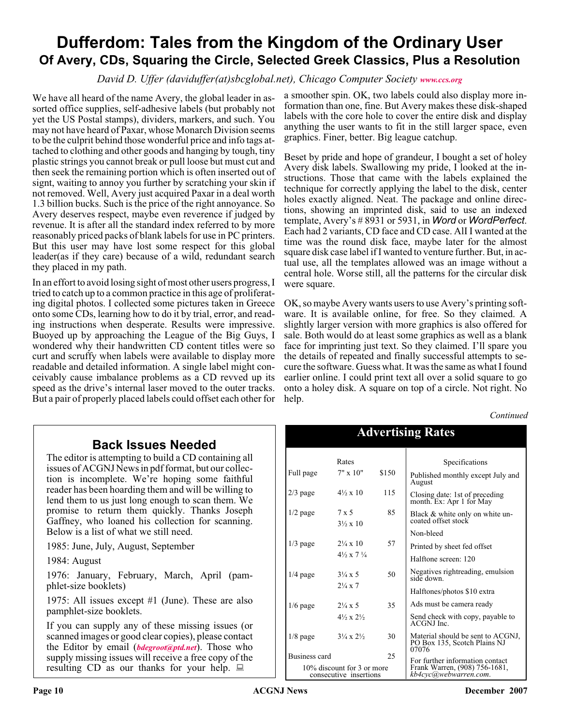# **Dufferdom: Tales from the Kingdom of the Ordinary User Of Avery, CDs, Squaring the Circle, Selected Greek Classics, Plus a Resolution**

*David D. Uffer (daviduffer(at)sbcglobal.net), Chicago Computer Society [www.ccs.org](http://www.ccs.org)*

We have all heard of the name Avery, the global leader in assorted office supplies, self-adhesive labels (but probably not yet the US Postal stamps), dividers, markers, and such. You may not have heard of Paxar, whose Monarch Division seems to be the culprit behind those wonderful price and info tags attached to clothing and other goods and hanging by tough, tiny plastic strings you cannot break or pull loose but must cut and then seek the remaining portion which is often inserted out of signt, waiting to annoy you further by scratching your skin if not removed. Well, Avery just acquired Paxar in a deal worth 1.3 billion bucks. Such is the price of the right annoyance. So Avery deserves respect, maybe even reverence if judged by revenue. It is after all the standard index referred to by more reasonably priced packs of blank labels for use in PC printers. But this user may have lost some respect for this global leader(as if they care) because of a wild, redundant search they placed in my path.

In an effort to avoid losing sight of most other users progress, I tried to catch up to a common practice in this age of proliferating digital photos. I collected some pictures taken in Greece onto some CDs, learning how to do it by trial, error, and reading instructions when desperate. Results were impressive. Buoyed up by approaching the League of the Big Guys, I wondered why their handwritten CD content titles were so curt and scruffy when labels were available to display more readable and detailed information. A single label might conceivably cause imbalance problems as a CD revved up its speed as the drive's internal laser moved to the outer tracks. But a pair of properly placed labels could offset each other for

a smoother spin. OK, two labels could also display more information than one, fine. But Avery makes these disk-shaped labels with the core hole to cover the entire disk and display anything the user wants to fit in the still larger space, even graphics. Finer, better. Big league catchup.

Beset by pride and hope of grandeur, I bought a set of holey Avery disk labels. Swallowing my pride, I looked at the instructions. Those that came with the labels explained the technique for correctly applying the label to the disk, center holes exactly aligned. Neat. The package and online directions, showing an imprinted disk, said to use an indexed template, Avery's # 8931 or 5931, in *Word* or *WordPerfect*. Each had 2 variants, CD face and CD case. AlI I wanted at the time was the round disk face, maybe later for the almost square disk case label if I wanted to venture further. But, in actual use, all the templates allowed was an image without a central hole. Worse still, all the patterns for the circular disk were square.

OK, so maybe Avery wants users to use Avery's printing software. It is available online, for free. So they claimed. A slightly larger version with more graphics is also offered for sale. Both would do at least some graphics as well as a blank face for imprinting just text. So they claimed. I'll spare you the details of repeated and finally successful attempts to secure the software. Guess what. It was the same as what I found earlier online. I could print text all over a solid square to go onto a holey disk. A square on top of a circle. Not right. No help.

*Continued*

# **Back Issues Needed**

The editor is attempting to build a CD containing all issues of ACGNJ News in pdf format, but our collection is incomplete. We're hoping some faithful reader has been hoarding them and will be willing to lend them to us just long enough to scan them. We promise to return them quickly. Thanks Joseph Gaffney, who loaned his collection for scanning. Below is a list of what we still need.

1985: June, July, August, September

1984: August

1976: January, February, March, April (pamphlet-size booklets)

1975: All issues except #1 (June). These are also pamphlet-size booklets.

If you can supply any of these missing issues (or scanned images or good clear copies), please contact the Editor by email (*[bdegroot@ptd.net](mailto:bdegroot@ptd.net)*). Those who supply missing issues will receive a free copy of the resulting CD as our thanks for your help.  $\Box$ 

| <b>Advertising Rates</b>                             |                                    |       |                                                                            |
|------------------------------------------------------|------------------------------------|-------|----------------------------------------------------------------------------|
|                                                      | Rates                              |       | Specifications                                                             |
| Full page                                            | $7" \times 10"$                    | \$150 | Published monthly except July and<br>August                                |
| $2/3$ page                                           | $4\frac{1}{2} \times 10$           | 115   | Closing date: 1st of preceding<br>month. Ex: Apr 1 for May                 |
| $1/2$ page                                           | 7 x 5<br>$3\frac{1}{2} \times 10$  | 85    | Black & white only on white un-<br>coated offset stock                     |
|                                                      |                                    |       | Non-bleed                                                                  |
| $1/3$ page                                           | $2\frac{1}{4} \times 10$           | 57    | Printed by sheet fed offset                                                |
|                                                      | $4\frac{1}{2} \times 7\frac{1}{4}$ |       | Halftone screen: 120                                                       |
| $1/4$ page                                           | $3\frac{1}{4} \times 5$            | 50    | Negatives rightreading, emulsion<br>side down.                             |
|                                                      | $2\frac{1}{4} \times 7$            |       | Halftones/photos \$10 extra                                                |
| $1/6$ page                                           | $2\frac{1}{4} \times 5$            | 35    | Ads must be camera ready                                                   |
|                                                      | $4\frac{1}{2} \times 2\frac{1}{2}$ |       | Send check with copy, payable to<br>ACGNJ Inc.                             |
| $1/8$ page                                           | $3\frac{1}{4} \times 2\frac{1}{2}$ | 30    | Material should be sent to ACGNJ,<br>PO Box 135, Scotch Plains NJ<br>07076 |
|                                                      | 25<br>Business card                |       | For further information contact                                            |
| 10% discount for 3 or more<br>consecutive insertions |                                    |       | Frank Warren, (908) 756-1681,<br>kb4cyc@webwarren.com.                     |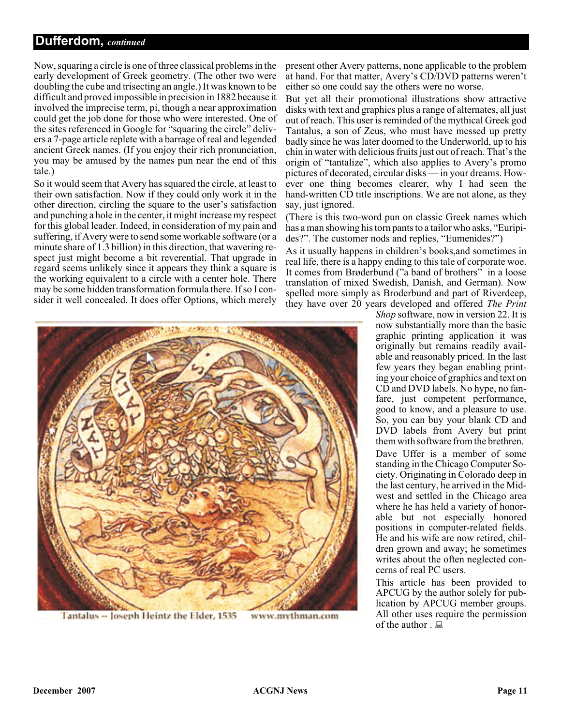### **Dufferdom,** *continued*

Now, squaring a circle is one of three classical problems in the early development of Greek geometry. (The other two were doubling the cube and trisecting an angle.) It was known to be difficult and proved impossible in precision in 1882 because it involved the imprecise term, pi, though a near approximation could get the job done for those who were interested. One of the sites referenced in Google for "squaring the circle" delivers a 7-page article replete with a barrage of real and legended ancient Greek names. (If you enjoy their rich pronunciation, you may be amused by the names pun near the end of this tale.)

So it would seem that Avery has squared the circle, at least to their own satisfaction. Now if they could only work it in the other direction, circling the square to the user's satisfaction and punching a hole in the center, it might increase my respect for this global leader. Indeed, in consideration of my pain and suffering, if Avery were to send some workable software (or a minute share of 1.3 billion) in this direction, that wavering respect just might become a bit reverential. That upgrade in regard seems unlikely since it appears they think a square is the working equivalent to a circle with a center hole. There may be some hidden transformation formula there. If so I consider it well concealed. It does offer Options, which merely

present other Avery patterns, none applicable to the problem at hand. For that matter, Avery's CD/DVD patterns weren't either so one could say the others were no worse.

But yet all their promotional illustrations show attractive disks with text and graphics plus a range of alternates, all just out of reach. This user is reminded of the mythical Greek god Tantalus, a son of Zeus, who must have messed up pretty badly since he was later doomed to the Underworld, up to his chin in water with delicious fruits just out of reach. That's the origin of "tantalize", which also applies to Avery's promo pictures of decorated, circular disks — in your dreams. However one thing becomes clearer, why I had seen the hand-written CD title inscriptions. We are not alone, as they say, just ignored.

(There is this two-word pun on classic Greek names which has a man showing his torn pants to a tailor who asks, "Euripides?". The customer nods and replies, "Eumenides?")

As it usually happens in children's books,and sometimes in real life, there is a happy ending to this tale of corporate woe. It comes from Brøderbund ("a band of brothers" in a loose translation of mixed Swedish, Danish, and German). Now spelled more simply as Broderbund and part of Riverdeep, they have over 20 years developed and offered *The Print*



Tantalus -- Joseph Heintz the Elder, 1535

www.mythman.com

*Shop* software, now in version 22. It is now substantially more than the basic graphic printing application it was originally but remains readily available and reasonably priced. In the last few years they began enabling printing your choice of graphics and text on CD and DVD labels. No hype, no fanfare, just competent performance, good to know, and a pleasure to use. So, you can buy your blank CD and DVD labels from Avery but print them with software from the brethren.

Dave Uffer is a member of some standing in the Chicago Computer Society. Originating in Colorado deep in the last century, he arrived in the Midwest and settled in the Chicago area where he has held a variety of honorable but not especially honored positions in computer-related fields. He and his wife are now retired, children grown and away; he sometimes writes about the often neglected concerns of real PC users.

This article has been provided to APCUG by the author solely for publication by APCUG member groups. All other uses require the permission of the author .  $\Box$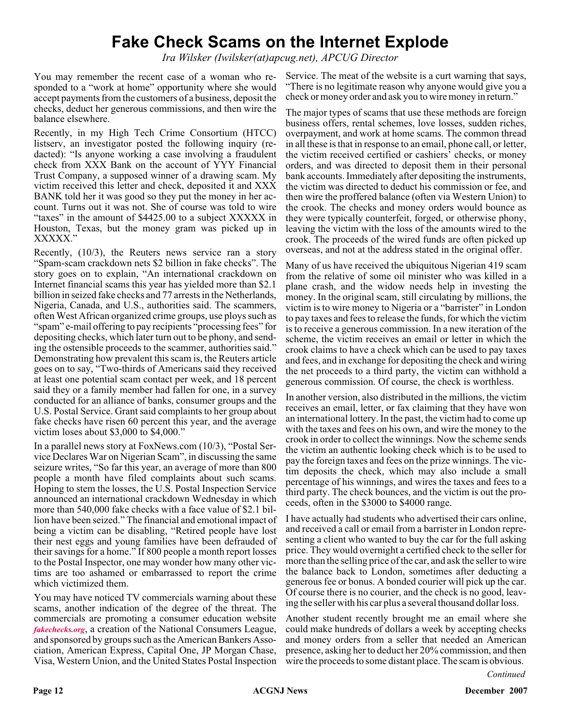# **Fake Check Scams on the Internet Explode**

*Ira Wilsker (Iwilsker(at)apcug.net), APCUG Director*

You may remember the recent case of a woman who responded to a "work at home" opportunity where she would accept payments from the customers of a business, deposit the checks, deduct her generous commissions, and then wire the balance elsewhere.

Recently, in my High Tech Crime Consortium (HTCC) listserv, an investigator posted the following inquiry (redacted): "Is anyone working a case involving a fraudulent check from XXX Bank on the account of YYY Financial Trust Company, a supposed winner of a drawing scam. My victim received this letter and check, deposited it and XXX BANK told her it was good so they put the money in her account. Turns out it was not. She of course was told to wire "taxes" in the amount of \$4425.00 to a subject XXXXX in Houston, Texas, but the money gram was picked up in XXXXX."

Recently, (10/3), the Reuters news service ran a story "Spam-scam crackdown nets \$2 billion in fake checks". The story goes on to explain, "An international crackdown on Internet financial scams this year has yielded more than \$2.1 billion in seized fake checks and 77 arrests in the Netherlands, Nigeria, Canada, and U.S., authorities said. The scammers, often West African organized crime groups, use ploys such as "spam" e-mail offering to pay recipients "processing fees" for depositing checks, which later turn out to be phony, and sending the ostensible proceeds to the scammer, authorities said." Demonstrating how prevalent this scam is, the Reuters article goes on to say, "Two-thirds of Americans said they received at least one potential scam contact per week, and 18 percent said they or a family member had fallen for one, in a survey conducted for an alliance of banks, consumer groups and the U.S. Postal Service. Grant said complaints to her group about fake checks have risen 60 percent this year, and the average victim loses about \$3,000 to \$4,000."

In a parallel news story at FoxNews.com (10/3), "Postal Service Declares War on Nigerian Scam", in discussing the same seizure writes, "So far this year, an average of more than 800 people a month have filed complaints about such scams. Hoping to stem the losses, the U.S. Postal Inspection Service announced an international crackdown Wednesday in which more than 540,000 fake checks with a face value of \$2.1 billion have been seized." The financial and emotional impact of being a victim can be disabling, "Retired people have lost their nest eggs and young families have been defrauded of their savings for a home." If 800 people a month report losses to the Postal Inspector, one may wonder how many other victims are too ashamed or embarrassed to report the crime which victimized them.

You may have noticed TV commercials warning about these scams, another indication of the degree of the threat. The commercials are promoting a consumer education website *[fakechecks.org](http://fakechecks.org)*, a creation of the National Consumers League, and sponsored by groups such as the American Bankers Association, American Express, Capital One, JP Morgan Chase, Visa, Western Union, and the United States Postal Inspection Service. The meat of the website is a curt warning that says, "There is no legitimate reason why anyone would give you a check or money order and ask you to wire money in return."

The major types of scams that use these methods are foreign business offers, rental schemes, love losses, sudden riches, overpayment, and work at home scams. The common thread in all these is that in response to an email, phone call, or letter, the victim received certified or cashiers' checks, or money orders, and was directed to deposit them in their personal bank accounts. Immediately after depositing the instruments, the victim was directed to deduct his commission or fee, and then wire the proffered balance (often via Western Union) to the crook. The checks and money orders would bounce as they were typically counterfeit, forged, or otherwise phony, leaving the victim with the loss of the amounts wired to the crook. The proceeds of the wired funds are often picked up overseas, and not at the address stated in the original offer.

Many of us have received the ubiquitous Nigerian 419 scam from the relative of some oil minister who was killed in a plane crash, and the widow needs help in investing the money. In the original scam, still circulating by millions, the victim is to wire money to Nigeria or a "barrister" in London to pay taxes and fees to release the funds, for which the victim is to receive a generous commission. In a new iteration of the scheme, the victim receives an email or letter in which the crook claims to have a check which can be used to pay taxes and fees, and in exchange for depositing the check and wiring the net proceeds to a third party, the victim can withhold a generous commission. Of course, the check is worthless.

In another version, also distributed in the millions, the victim receives an email, letter, or fax claiming that they have won an international lottery. In the past, the victim had to come up with the taxes and fees on his own, and wire the money to the crook in order to collect the winnings. Now the scheme sends the victim an authentic looking check which is to be used to pay the foreign taxes and fees on the prize winnings. The victim deposits the check, which may also include a small percentage of his winnings, and wires the taxes and fees to a third party. The check bounces, and the victim is out the proceeds, often in the \$3000 to \$4000 range.

I have actually had students who advertised their cars online, and received a call or email from a barrister in London representing a client who wanted to buy the car for the full asking price. They would overnight a certified check to the seller for more than the selling price of the car, and ask the seller to wire the balance back to London, sometimes after deducting a generous fee or bonus. A bonded courier will pick up the car. Of course there is no courier, and the check is no good, leaving the seller with his car plus a several thousand dollar loss.

Another student recently brought me an email where she could make hundreds of dollars a week by accepting checks and money orders from a seller that needed an American presence, asking her to deduct her 20% commission, and then wire the proceeds to some distant place. The scam is obvious.

*Continued*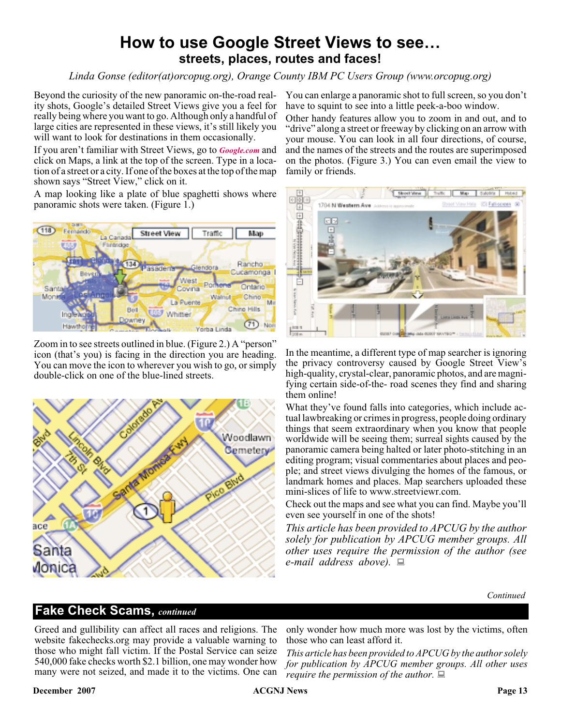# **How to use Google Street Views to see… streets, places, routes and faces!**

*Linda Gonse (editor(at)orcopug.org), Orange County IBM PC Users Group (www.orcopug.org)*

Beyond the curiosity of the new panoramic on-the-road reality shots, Google's detailed Street Views give you a feel for really being where you want to go. Although only a handful of large cities are represented in these views, it's still likely you will want to look for destinations in them occasionally.

If you aren't familiar with Street Views, go to *[Google.com](http://Google.com)* and click on Maps, a link at the top of the screen. Type in a location of a street or a city. If one of the boxes at the top of the map shown says "Street View," click on it.

A map looking like a plate of blue spaghetti shows where panoramic shots were taken. (Figure 1.)



Zoom in to see streets outlined in blue. (Figure 2.) A "person" icon (that's you) is facing in the direction you are heading. You can move the icon to wherever you wish to go, or simply double-click on one of the blue-lined streets.



You can enlarge a panoramic shot to full screen, so you don't have to squint to see into a little peek-a-boo window.

Other handy features allow you to zoom in and out, and to "drive" along a street or freeway by clicking on an arrow with your mouse. You can look in all four directions, of course, and the names of the streets and the routes are superimposed on the photos. (Figure 3.) You can even email the view to family or friends.



In the meantime, a different type of map searcher is ignoring the privacy controversy caused by Google Street View's high-quality, crystal-clear, panoramic photos, and are magnifying certain side-of-the- road scenes they find and sharing them online!

What they've found falls into categories, which include actual lawbreaking or crimes in progress, people doing ordinary things that seem extraordinary when you know that people worldwide will be seeing them; surreal sights caused by the panoramic camera being halted or later photo-stitching in an editing program; visual commentaries about places and people; and street views divulging the homes of the famous, or landmark homes and places. Map searchers uploaded these mini-slices of life to www.streetviewr.com.

Check out the maps and see what you can find. Maybe you'll even see yourself in one of the shots!

*This article has been provided to APCUG by the author solely for publication by APCUG member groups. All other uses require the permission of the author (see e-mail address above).*

*Continued*

### **Fake Check Scams,** *continued*

Greed and gullibility can affect all races and religions. The website fakechecks.org may provide a valuable warning to those who might fall victim. If the Postal Service can seize 540,000 fake checks worth \$2.1 billion, one may wonder how many were not seized, and made it to the victims. One can

only wonder how much more was lost by the victims, often those who can least afford it.

*This article has been provided to APCUG by the author solely for publication by APCUG member groups. All other uses require the permission of the author.*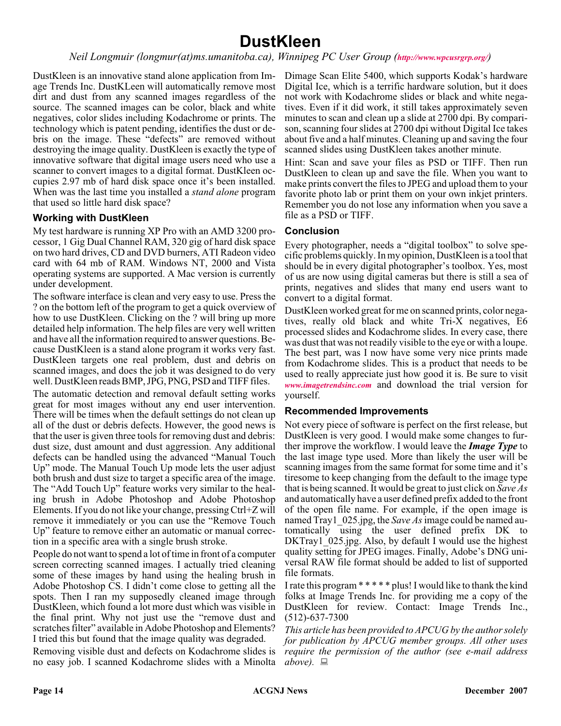# **DustKleen**

#### *Neil Longmuir (longmur(at)ms.umanitoba.ca), Winnipeg PC User Group (<http://www.wpcusrgrp.org/>)*

DustKleen is an innovative stand alone application from Image Trends Inc. DustKLeen will automatically remove most dirt and dust from any scanned images regardless of the source. The scanned images can be color, black and white negatives, color slides including Kodachrome or prints. The technology which is patent pending, identifies the dust or debris on the image. These "defects" are removed without destroying the image quality. DustKleen is exactly the type of innovative software that digital image users need who use a scanner to convert images to a digital format. DustKleen occupies 2.97 mb of hard disk space once it's been installed. When was the last time you installed a *stand alone* program that used so little hard disk space?

#### **Working with DustKleen**

My test hardware is running XP Pro with an AMD 3200 processor, 1 Gig Dual Channel RAM, 320 gig of hard disk space on two hard drives, CD and DVD burners, ATI Radeon video card with 64 mb of RAM. Windows NT, 2000 and Vista operating systems are supported. A Mac version is currently under development.

The software interface is clean and very easy to use. Press the ? on the bottom left of the program to get a quick overview of how to use DustKleen. Clicking on the ? will bring up more detailed help information. The help files are very well written and have all the information required to answer questions. Because DustKleen is a stand alone program it works very fast. DustKleen targets one real problem, dust and debris on scanned images, and does the job it was designed to do very well. DustKleen reads BMP, JPG, PNG, PSD and TIFF files.

The automatic detection and removal default setting works great for most images without any end user intervention. There will be times when the default settings do not clean up all of the dust or debris defects. However, the good news is that the user is given three tools for removing dust and debris: dust size, dust amount and dust aggression. Any additional defects can be handled using the advanced "Manual Touch Up" mode. The Manual Touch Up mode lets the user adjust both brush and dust size to target a specific area of the image. The "Add Touch Up" feature works very similar to the healing brush in Adobe Photoshop and Adobe Photoshop Elements. If you do not like your change, pressing Ctrl+Z will remove it immediately or you can use the "Remove Touch Up" feature to remove either an automatic or manual correction in a specific area with a single brush stroke.

People do not want to spend a lot of time in front of a computer screen correcting scanned images. I actually tried cleaning some of these images by hand using the healing brush in Adobe Photoshop CS. I didn't come close to getting all the spots. Then I ran my supposedly cleaned image through DustKleen, which found a lot more dust which was visible in the final print. Why not just use the "remove dust and scratches filter" available in Adobe Photoshop and Elements? I tried this but found that the image quality was degraded.

Removing visible dust and defects on Kodachrome slides is no easy job. I scanned Kodachrome slides with a Minolta

Dimage Scan Elite 5400, which supports Kodak's hardware Digital Ice, which is a terrific hardware solution, but it does not work with Kodachrome slides or black and white negatives. Even if it did work, it still takes approximately seven minutes to scan and clean up a slide at 2700 dpi. By comparison, scanning four slides at 2700 dpi without Digital Ice takes about five and a half minutes. Cleaning up and saving the four scanned slides using DustKleen takes another minute.

Hint: Scan and save your files as PSD or TIFF. Then run DustKleen to clean up and save the file. When you want to make prints convert the files to JPEG and upload them to your favorite photo lab or print them on your own inkjet printers. Remember you do not lose any information when you save a file as a PSD or TIFF.

#### **Conclusion**

Every photographer, needs a "digital toolbox" to solve specific problems quickly. In my opinion, DustKleen is a tool that should be in every digital photographer's toolbox. Yes, most of us are now using digital cameras but there is still a sea of prints, negatives and slides that many end users want to convert to a digital format.

DustKleen worked great for me on scanned prints, color negatives, really old black and white Tri-X negatives, E6 processed slides and Kodachrome slides. In every case, there was dust that was not readily visible to the eye or with a loupe. The best part, was I now have some very nice prints made from Kodachrome slides. This is a product that needs to be used to really appreciate just how good it is. Be sure to visit *[www.imagetrendsinc.com](http://www.imagetrendsinc.com)* and download the trial version for yourself.

#### **Recommended Improvements**

Not every piece of software is perfect on the first release, but DustKleen is very good. I would make some changes to further improve the workflow. I would leave the *Image Type* to the last image type used. More than likely the user will be scanning images from the same format for some time and it's tiresome to keep changing from the default to the image type that is being scanned. It would be great to just click on *Save As* and automatically have a user defined prefix added to the front of the open file name. For example, if the open image is named Tray1\_025.jpg, the *Save As*image could be named automatically using the user defined prefix DK to DKTray1\_025.jpg. Also, by default I would use the highest quality setting for JPEG images. Finally, Adobe's DNG universal RAW file format should be added to list of supported file formats.

I rate this program \*\*\*\*\* plus! I would like to thank the kind folks at Image Trends Inc. for providing me a copy of the DustKleen for review. Contact: Image Trends Inc., (512)-637-7300

*This article has been provided to APCUG by the author solely for publication by APCUG member groups. All other uses require the permission of the author (see e-mail address above*). ■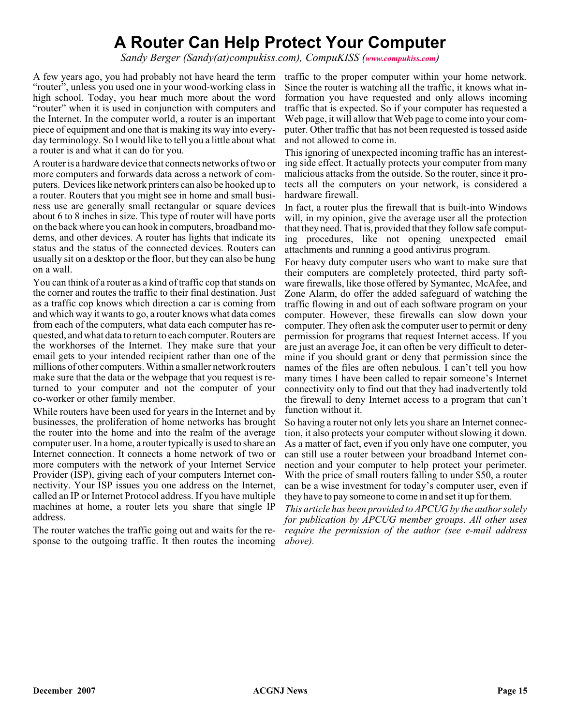# **A Router Can Help Protect Your Computer**

*Sandy Berger (Sandy(at)compukiss.com), CompuKISS ([www.compukiss.com](http://www.compukiss.com))*

A few years ago, you had probably not have heard the term traffic to the proper computer within your home network. "router", unless you used one in your wood-working class in high school. Today, you hear much more about the word "router" when it is used in conjunction with computers and the Internet. In the computer world, a router is an important piece of equipment and one that is making its way into everyday terminology. So I would like to tell you a little about what a router is and what it can do for you.

A router is a hardware device that connects networks of two or more computers and forwards data across a network of computers. Devices like network printers can also be hooked up to a router. Routers that you might see in home and small business use are generally small rectangular or square devices about 6 to 8 inches in size. This type of router will have ports on the back where you can hook in computers, broadband modems, and other devices. A router has lights that indicate its status and the status of the connected devices. Routers can usually sit on a desktop or the floor, but they can also be hung on a wall.

You can think of a router as a kind of traffic cop that stands on the corner and routes the traffic to their final destination. Just as a traffic cop knows which direction a car is coming from and which way it wants to go, a router knows what data comes from each of the computers, what data each computer has requested, and what data to return to each computer. Routers are the workhorses of the Internet. They make sure that your email gets to your intended recipient rather than one of the millions of other computers. Within a smaller network routers make sure that the data or the webpage that you request is returned to your computer and not the computer of your co-worker or other family member.

While routers have been used for years in the Internet and by businesses, the proliferation of home networks has brought the router into the home and into the realm of the average computer user. In a home, a router typically is used to share an Internet connection. It connects a home network of two or more computers with the network of your Internet Service Provider (ISP), giving each of your computers Internet connectivity. Your ISP issues you one address on the Internet, called an IP or Internet Protocol address. If you have multiple machines at home, a router lets you share that single IP address.

The router watches the traffic going out and waits for the response to the outgoing traffic. It then routes the incoming

Since the router is watching all the traffic, it knows what information you have requested and only allows incoming traffic that is expected. So if your computer has requested a Web page, it will allow that Web page to come into your computer. Other traffic that has not been requested is tossed aside and not allowed to come in.

This ignoring of unexpected incoming traffic has an interesting side effect. It actually protects your computer from many malicious attacks from the outside. So the router, since it protects all the computers on your network, is considered a hardware firewall.

In fact, a router plus the firewall that is built-into Windows will, in my opinion, give the average user all the protection that they need. That is, provided that they follow safe computing procedures, like not opening unexpected email attachments and running a good antivirus program.

For heavy duty computer users who want to make sure that their computers are completely protected, third party software firewalls, like those offered by Symantec, McAfee, and Zone Alarm, do offer the added safeguard of watching the traffic flowing in and out of each software program on your computer. However, these firewalls can slow down your computer. They often ask the computer user to permit or deny permission for programs that request Internet access. If you are just an average Joe, it can often be very difficult to determine if you should grant or deny that permission since the names of the files are often nebulous. I can't tell you how many times I have been called to repair someone's Internet connectivity only to find out that they had inadvertently told the firewall to deny Internet access to a program that can't function without it.

So having a router not only lets you share an Internet connection, it also protects your computer without slowing it down. As a matter of fact, even if you only have one computer, you can still use a router between your broadband Internet connection and your computer to help protect your perimeter. With the price of small routers falling to under \$50, a router can be a wise investment for today's computer user, even if they have to pay someone to come in and set it up for them.

*This article has been provided to APCUG by the author solely for publication by APCUG member groups. All other uses require the permission of the author (see e-mail address above).*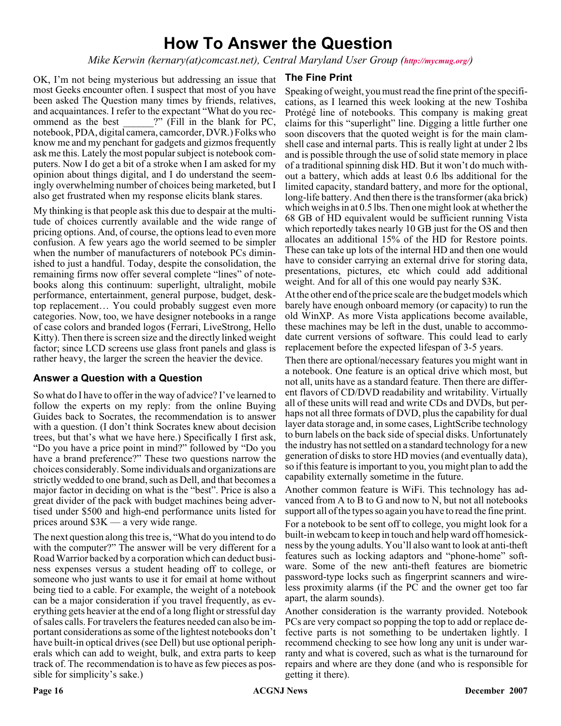# **How To Answer the Question**

*Mike Kerwin (kernary(at)comcast.net), Central Maryland User Group (<http://mycmug.org/>)*

OK, I'm not being mysterious but addressing an issue that most Geeks encounter often. I suspect that most of you have been asked The Question many times by friends, relatives, and acquaintances. I refer to the expectant "What do you recommend as the best  $\cdots$  (Fill in the blank for PC, notebook, PDA, digital camera, camcorder, DVR.) Folks who know me and my penchant for gadgets and gizmos frequently ask me this. Lately the most popular subject is notebook computers. Now I do get a bit of a stroke when I am asked for my opinion about things digital, and I do understand the seemingly overwhelming number of choices being marketed, but I also get frustrated when my response elicits blank stares.

My thinking is that people ask this due to despair at the multitude of choices currently available and the wide range of pricing options. And, of course, the options lead to even more confusion. A few years ago the world seemed to be simpler when the number of manufacturers of notebook PCs diminished to just a handful. Today, despite the consolidation, the remaining firms now offer several complete "lines" of notebooks along this continuum: superlight, ultralight, mobile performance, entertainment, general purpose, budget, desktop replacement… You could probably suggest even more categories. Now, too, we have designer notebooks in a range of case colors and branded logos (Ferrari, LiveStrong, Hello Kitty). Then there is screen size and the directly linked weight factor; since LCD screens use glass front panels and glass is rather heavy, the larger the screen the heavier the device.

#### **Answer a Question with a Question**

So what do I have to offer in the way of advice? I've learned to follow the experts on my reply: from the online Buying Guides back to Socrates, the recommendation is to answer with a question. (I don't think Socrates knew about decision trees, but that's what we have here.) Specifically I first ask, "Do you have a price point in mind?" followed by "Do you have a brand preference?" These two questions narrow the choices considerably. Some individuals and organizations are strictly wedded to one brand, such as Dell, and that becomes a major factor in deciding on what is the "best". Price is also a great divider of the pack with budget machines being advertised under \$500 and high-end performance units listed for prices around \$3K — a very wide range.

The next question along this tree is, "What do you intend to do with the computer?" The answer will be very different for a Road Warrior backed by a corporation which can deduct business expenses versus a student heading off to college, or someone who just wants to use it for email at home without being tied to a cable. For example, the weight of a notebook can be a major consideration if you travel frequently, as everything gets heavier at the end of a long flight or stressful day of sales calls. For travelers the features needed can also be important considerations as some of the lightest notebooks don't have built-in optical drives (see Dell) but use optional peripherals which can add to weight, bulk, and extra parts to keep track of. The recommendation is to have as few pieces as possible for simplicity's sake.)

#### **The Fine Print**

Speaking of weight, you must read the fine print of the specifications, as I learned this week looking at the new Toshiba Protégé line of notebooks. This company is making great claims for this "superlight" line. Digging a little further one soon discovers that the quoted weight is for the main clamshell case and internal parts. This is really light at under 2 lbs and is possible through the use of solid state memory in place of a traditional spinning disk HD. But it won't do much without a battery, which adds at least 0.6 lbs additional for the limited capacity, standard battery, and more for the optional, long-life battery. And then there is the transformer (aka brick) which weighs in at 0.5 lbs. Then one might look at whether the 68 GB of HD equivalent would be sufficient running Vista which reportedly takes nearly 10 GB just for the OS and then allocates an additional 15% of the HD for Restore points. These can take up lots of the internal HD and then one would have to consider carrying an external drive for storing data, presentations, pictures, etc which could add additional weight. And for all of this one would pay nearly \$3K.

At the other end of the price scale are the budget models which barely have enough onboard memory (or capacity) to run the old WinXP. As more Vista applications become available, these machines may be left in the dust, unable to accommodate current versions of software. This could lead to early replacement before the expected lifespan of 3-5 years.

Then there are optional/necessary features you might want in a notebook. One feature is an optical drive which most, but not all, units have as a standard feature. Then there are different flavors of CD/DVD readability and writability. Virtually all of these units will read and write CDs and DVDs, but perhaps not all three formats of DVD, plus the capability for dual layer data storage and, in some cases, LightScribe technology to burn labels on the back side of special disks. Unfortunately the industry has not settled on a standard technology for a new generation of disks to store HD movies (and eventually data), so if this feature is important to you, you might plan to add the capability externally sometime in the future.

Another common feature is WiFi. This technology has advanced from A to B to G and now to N, but not all notebooks support all of the types so again you have to read the fine print.

For a notebook to be sent off to college, you might look for a built-in webcam to keep in touch and help ward off homesickness by the young adults. You'll also want to look at anti-theft features such as locking adaptors and "phone-home" software. Some of the new anti-theft features are biometric password-type locks such as fingerprint scanners and wireless proximity alarms (if the PC and the owner get too far apart, the alarm sounds).

Another consideration is the warranty provided. Notebook PCs are very compact so popping the top to add or replace defective parts is not something to be undertaken lightly. I recommend checking to see how long any unit is under warranty and what is covered, such as what is the turnaround for repairs and where are they done (and who is responsible for getting it there).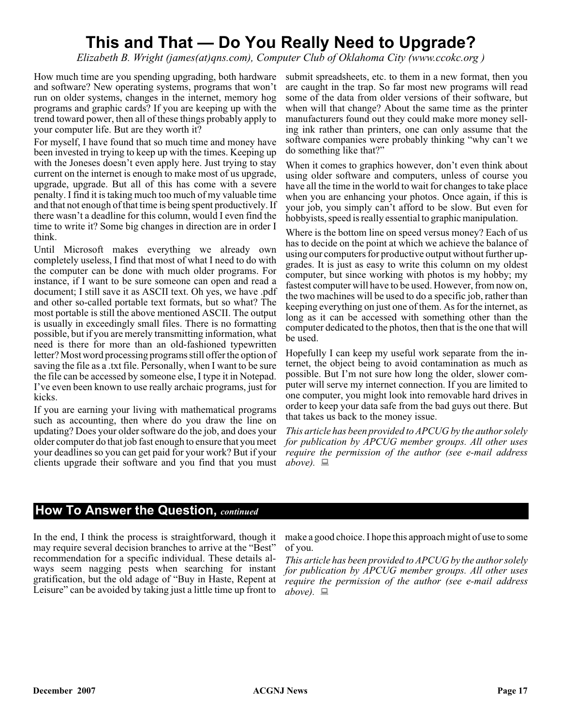# **This and That — Do You Really Need to Upgrade?**

*Elizabeth B. Wright (james(at)qns.com), Computer Club of Oklahoma City (www.ccokc.org )*

How much time are you spending upgrading, both hardware and software? New operating systems, programs that won't run on older systems, changes in the internet, memory hog programs and graphic cards? If you are keeping up with the trend toward power, then all of these things probably apply to your computer life. But are they worth it?

For myself, I have found that so much time and money have been invested in trying to keep up with the times. Keeping up with the Joneses doesn't even apply here. Just trying to stay current on the internet is enough to make most of us upgrade, upgrade, upgrade. But all of this has come with a severe penalty. I find it is taking much too much of my valuable time and that not enough of that time is being spent productively. If there wasn't a deadline for this column, would I even find the time to write it? Some big changes in direction are in order I think.

Until Microsoft makes everything we already own completely useless, I find that most of what I need to do with the computer can be done with much older programs. For instance, if I want to be sure someone can open and read a document; I still save it as ASCII text. Oh yes, we have .pdf and other so-called portable text formats, but so what? The most portable is still the above mentioned ASCII. The output is usually in exceedingly small files. There is no formatting possible, but if you are merely transmitting information, what need is there for more than an old-fashioned typewritten letter? Most word processing programs still offer the option of saving the file as a .txt file. Personally, when I want to be sure the file can be accessed by someone else, I type it in Notepad. I've even been known to use really archaic programs, just for kicks.

If you are earning your living with mathematical programs such as accounting, then where do you draw the line on updating? Does your older software do the job, and does your older computer do that job fast enough to ensure that you meet your deadlines so you can get paid for your work? But if your clients upgrade their software and you find that you must

submit spreadsheets, etc. to them in a new format, then you are caught in the trap. So far most new programs will read some of the data from older versions of their software, but when will that change? About the same time as the printer manufacturers found out they could make more money selling ink rather than printers, one can only assume that the software companies were probably thinking "why can't we do something like that?"

When it comes to graphics however, don't even think about using older software and computers, unless of course you have all the time in the world to wait for changes to take place when you are enhancing your photos. Once again, if this is your job, you simply can't afford to be slow. But even for hobbyists, speed is really essential to graphic manipulation.

Where is the bottom line on speed versus money? Each of us has to decide on the point at which we achieve the balance of using our computers for productive output without further upgrades. It is just as easy to write this column on my oldest computer, but since working with photos is my hobby; my fastest computer will have to be used. However, from now on, the two machines will be used to do a specific job, rather than keeping everything on just one of them. As for the internet, as long as it can be accessed with something other than the computer dedicated to the photos, then that is the one that will be used.

Hopefully I can keep my useful work separate from the internet, the object being to avoid contamination as much as possible. But I'm not sure how long the older, slower computer will serve my internet connection. If you are limited to one computer, you might look into removable hard drives in order to keep your data safe from the bad guys out there. But that takes us back to the money issue.

*This article has been provided to APCUG by the author solely for publication by APCUG member groups. All other uses require the permission of the author (see e-mail address above).*

#### **How To Answer the Question,** *continued*

In the end, I think the process is straightforward, though it may require several decision branches to arrive at the "Best" recommendation for a specific individual. These details always seem nagging pests when searching for instant gratification, but the old adage of "Buy in Haste, Repent at Leisure" can be avoided by taking just a little time up front to

make a good choice. I hope this approach might of use to some of you.

*This article has been provided to APCUG by the author solely for publication by APCUG member groups. All other uses require the permission of the author (see e-mail address above).*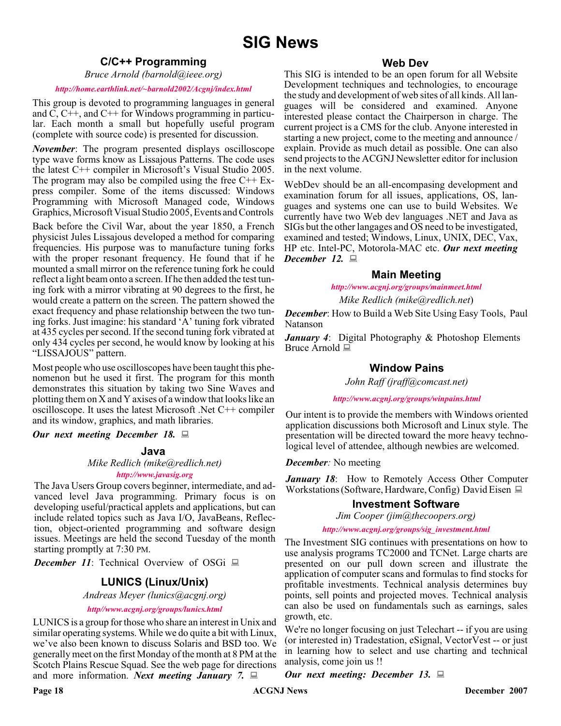#### **C/C++ Programming**

*Bruce Arnold (barnold@ieee.org)*

#### *<http://home.earthlink.net/~barnold2002/Acgnj/index.html>*

This group is devoted to programming languages in general and C, C++, and C++ for Windows programming in particular. Each month a small but hopefully useful program (complete with source code) is presented for discussion.

*November*: The program presented displays oscilloscope type wave forms know as Lissajous Patterns. The code uses the latest C++ compiler in Microsoft's Visual Studio 2005. The program may also be compiled using the free  $C++ Ex$ press compiler. Some of the items discussed: Windows Programming with Microsoft Managed code, Windows Graphics, Microsoft Visual Studio 2005, Events and Controls

Back before the Civil War, about the year 1850, a French physicist Jules Lissajous developed a method for comparing frequencies. His purpose was to manufacture tuning forks with the proper resonant frequency. He found that if he mounted a small mirror on the reference tuning fork he could reflect a light beam onto a screen. If he then added the test tuning fork with a mirror vibrating at 90 degrees to the first, he would create a pattern on the screen. The pattern showed the exact frequency and phase relationship between the two tuning forks. Just imagine: his standard 'A' tuning fork vibrated at 435 cycles per second. If the second tuning fork vibrated at only 434 cycles per second, he would know by looking at his "LISSAJOUS" pattern.

Most people who use oscilloscopes have been taught this phenomenon but he used it first. The program for this month demonstrates this situation by taking two Sine Waves and plotting them on X and Y axises of a window that looks like an oscilloscope. It uses the latest Microsoft .Net C++ compiler and its window, graphics, and math libraries.

*Our next meeting December 18.*

#### **Java**

*Mike Redlich (mike@redlich.net)*

## *<http://www.javasig.org>*

The Java Users Group covers beginner, intermediate, and advanced level Java programming. Primary focus is on developing useful/practical applets and applications, but can include related topics such as Java I/O, JavaBeans, Reflection, object-oriented programming and software design issues. Meetings are held the second Tuesday of the month starting promptly at 7:30 PM.

*December 11*: Technical Overview of OSGi ■

### **LUNICS (Linux/Unix)**

*Andreas Meyer (lunics@acgnj.org)*

*<http//www.acgnj.org/groups/lunics.html>*

LUNICS is a group for those who share an interest in Unix and similar operating systems. While we do quite a bit with Linux, we've also been known to discuss Solaris and BSD too. We generally meet on the first Monday of the month at 8 PM at the Scotch Plains Rescue Squad. See the web page for directions and more information. *Next meeting January 7.*

#### **Web Dev**

This SIG is intended to be an open forum for all Website Development techniques and technologies, to encourage the study and development of web sites of all kinds. All languages will be considered and examined. Anyone interested please contact the Chairperson in charge. The current project is a CMS for the club. Anyone interested in starting a new project, come to the meeting and announce / explain. Provide as much detail as possible. One can also send projects to the ACGNJ Newsletter editor for inclusion in the next volume.

WebDev should be an all-encompasing development and examination forum for all issues, applications, OS, languages and systems one can use to build Websites. We currently have two Web dev languages .NET and Java as SIGs but the other langages and OS need to be investigated, examined and tested; Windows, Linux, UNIX, DEC, Vax, HP etc. Intel-PC, Motorola-MAC etc. *Our next meeting December 12.*

#### **Main Meeting**

*<http://www.acgnj.org/groups/mainmeet.html>*

*Mike Redlich (mike@redlich.net*)

*December*: How to Build a Web Site Using Easy Tools, Paul Natanson

*January 4*: Digital Photography & Photoshop Elements Bruce Arnold <u>口</u>

#### **Window Pains**

*John Raff (jraff@comcast.net)*

*<http://www.acgnj.org/groups/winpains.html>*

Our intent is to provide the members with Windows oriented application discussions both Microsoft and Linux style. The presentation will be directed toward the more heavy technological level of attendee, although newbies are welcomed.

*December:* No meeting

*January 18*: How to Remotely Access Other Computer Workstations (Software, Hardware, Config) David Eisen

#### **Investment Software**

*Jim Cooper (jim@thecoopers.org)*

*[http://www.acgnj.org/groups/sig\\_investment.html](http://www.acgnj.org/groups/sig_investment.html)*

The Investment SIG continues with presentations on how to use analysis programs TC2000 and TCNet. Large charts are presented on our pull down screen and illustrate the application of computer scans and formulas to find stocks for profitable investments. Technical analysis determines buy points, sell points and projected moves. Technical analysis can also be used on fundamentals such as earnings, sales growth, etc.

We're no longer focusing on just Telechart -- if you are using (or interested in) Tradestation, eSignal, VectorVest -- or just in learning how to select and use charting and technical analysis, come join us !!

*Our next meeting: December 13.*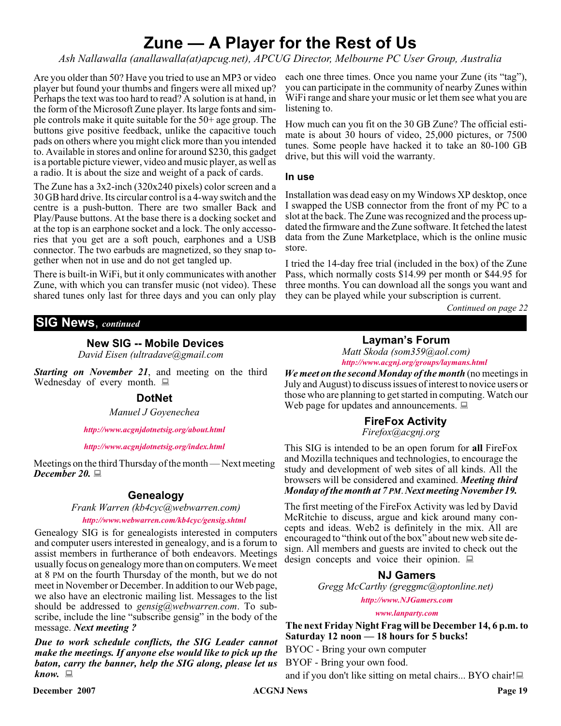# **Zune — A Player for the Rest of Us**

*Ash Nallawalla (anallawalla(at)apcug.net), APCUG Director, Melbourne PC User Group, Australia*

Are you older than 50? Have you tried to use an MP3 or video player but found your thumbs and fingers were all mixed up? Perhaps the text was too hard to read? A solution is at hand, in the form of the Microsoft Zune player. Its large fonts and simple controls make it quite suitable for the 50+ age group. The buttons give positive feedback, unlike the capacitive touch pads on others where you might click more than you intended to. Available in stores and online for around \$230, this gadget is a portable picture viewer, video and music player, as well as a radio. It is about the size and weight of a pack of cards.

The Zune has a 3x2-inch (320x240 pixels) color screen and a 30 GB hard drive. Its circular control is a 4-way switch and the centre is a push-button. There are two smaller Back and Play/Pause buttons. At the base there is a docking socket and at the top is an earphone socket and a lock. The only accessories that you get are a soft pouch, earphones and a USB connector. The two earbuds are magnetized, so they snap together when not in use and do not get tangled up.

There is built-in WiFi, but it only communicates with another Zune, with which you can transfer music (not video). These shared tunes only last for three days and you can only play each one three times. Once you name your Zune (its "tag"), you can participate in the community of nearby Zunes within WiFi range and share your music or let them see what you are listening to.

How much can you fit on the 30 GB Zune? The official estimate is about 30 hours of video, 25,000 pictures, or 7500 tunes. Some people have hacked it to take an 80-100 GB drive, but this will void the warranty.

#### **In use**

Installation was dead easy on my Windows XP desktop, once I swapped the USB connector from the front of my PC to a slot at the back. The Zune was recognized and the process updated the firmware and the Zune software. It fetched the latest data from the Zune Marketplace, which is the online music store.

I tried the 14-day free trial (included in the box) of the Zune Pass, which normally costs \$14.99 per month or \$44.95 for three months. You can download all the songs you want and they can be played while your subscription is current.

> **Layman's Forum** *Matt Skoda (som359@aol.com)*

*Continued on page 22*

### **SIG News**, *continued*

#### **New SIG -- Mobile Devices**

*David Eisen (ultradave@gmail.com*

*Starting on November 21*, and meeting on the third Wednesday of every month.  $\Box$ 

#### **DotNet**

*Manuel J Goyenechea*

*<http://www.acgnjdotnetsig.org/about.html>*

*<http://www.acgnjdotnetsig.org/index.html>*

Meetings on the third Thursday of the month — Next meeting *December 20.*

### **Genealogy**

*Frank Warren (kb4cyc@webwarren.com)*

#### *<http://www.webwarren.com/kb4cyc/gensig.shtml>*

Genealogy SIG is for genealogists interested in computers and computer users interested in genealogy, and is a forum to assist members in furtherance of both endeavors. Meetings usually focus on genealogy more than on computers. We meet at 8 PM on the fourth Thursday of the month, but we do not meet in November or December. In addition to our Web page, we also have an electronic mailing list. Messages to the list should be addressed to *gensig@webwarren.com*. To subscribe, include the line "subscribe gensig" in the body of the message. *Next meeting ?*

*Due to work schedule conflicts, the SIG Leader cannot make the meetings. If anyone else would like to pick up the baton, carry the banner, help the SIG along, please let us know.*

*<http://www.acgnj.org/groups/laymans.html> We meet on the second Monday of the month* (no meetings in July and August) to discuss issues of interest to novice users or those who are planning to get started in computing. Watch our Web page for updates and announcements.  $\Box$ 

### **FireFox Activity**

*Firefox@acgnj.org*

This SIG is intended to be an open forum for **all** FireFox and Mozilla techniques and technologies, to encourage the study and development of web sites of all kinds. All the browsers will be considered and examined. *Meeting third Monday of the month at 7 PM*. *Next meeting November 19.*

The first meeting of the FireFox Activity was led by David McRitchie to discuss, argue and kick around many concepts and ideas. Web2 is definitely in the mix. All are encouraged to "think out of the box" about new web site design. All members and guests are invited to check out the design concepts and voice their opinion.  $\Box$ 

#### **NJ Gamers**

*Gregg McCarthy (greggmc@optonline.net)*

*<http://www.NJGamers.com>*

*[www.lanparty.com](http://www.lanparty.com)*

**The next Friday Night Frag will be December 14, 6 p.m. to Saturday 12 noon — 18 hours for 5 bucks!**

BYOC - Bring your own computer

BYOF - Bring your own food.

and if you don't like sitting on metal chairs... BYO chair!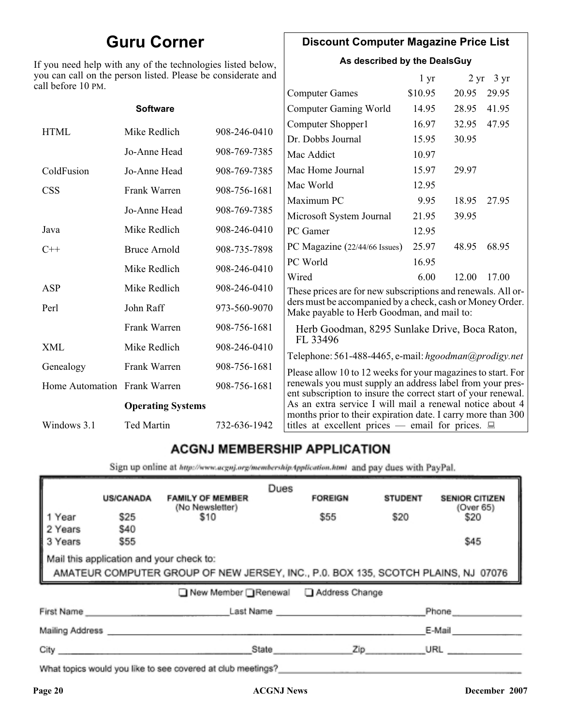# **Guru Corner**

If you need help with any of the technologies listed below, you can call on the person listed. Please be considerate and ca

# **Discount Computer Magazine Price List**

**As described by the DealsGuy**

 $1 \text{ yr}$   $2 \text{ yr}$   $3 \text{ yr}$ 

| ll before 10 PM.             |                          |              |                                                                                                                            |         |       |       |
|------------------------------|--------------------------|--------------|----------------------------------------------------------------------------------------------------------------------------|---------|-------|-------|
|                              |                          |              | <b>Computer Games</b>                                                                                                      | \$10.95 | 20.95 | 29.95 |
|                              | <b>Software</b>          |              | <b>Computer Gaming World</b>                                                                                               | 14.95   | 28.95 | 41.95 |
| <b>HTML</b>                  | Mike Redlich             | 908-246-0410 | Computer Shopper1                                                                                                          | 16.97   | 32.95 | 47.95 |
|                              |                          |              | Dr. Dobbs Journal                                                                                                          | 15.95   | 30.95 |       |
|                              | Jo-Anne Head             | 908-769-7385 | Mac Addict                                                                                                                 | 10.97   |       |       |
| ColdFusion                   | Jo-Anne Head             | 908-769-7385 | Mac Home Journal                                                                                                           | 15.97   | 29.97 |       |
| <b>CSS</b>                   | Frank Warren             | 908-756-1681 | Mac World                                                                                                                  | 12.95   |       |       |
|                              |                          |              | Maximum PC                                                                                                                 | 9.95    | 18.95 | 27.95 |
|                              | Jo-Anne Head             | 908-769-7385 | Microsoft System Journal                                                                                                   | 21.95   | 39.95 |       |
| Java                         | Mike Redlich             | 908-246-0410 | PC Gamer                                                                                                                   | 12.95   |       |       |
| $C++$                        | <b>Bruce Arnold</b>      | 908-735-7898 | PC Magazine (22/44/66 Issues)                                                                                              | 25.97   | 48.95 | 68.95 |
|                              | Mike Redlich             | 908-246-0410 | PC World                                                                                                                   | 16.95   |       |       |
|                              |                          |              | Wired                                                                                                                      | 6.00    | 12.00 | 17.00 |
| ASP                          | Mike Redlich             | 908-246-0410 | These prices are for new subscriptions and renewals. All or-                                                               |         |       |       |
| Perl                         | John Raff                | 973-560-9070 | ders must be accompanied by a check, cash or Money Order.<br>Make payable to Herb Goodman, and mail to:                    |         |       |       |
|                              | Frank Warren             | 908-756-1681 | Herb Goodman, 8295 Sunlake Drive, Boca Raton,                                                                              |         |       |       |
| XML                          | Mike Redlich             | 908-246-0410 | FL 33496<br>Telephone: 561-488-4465, e-mail: hgoodman@prodigy.net                                                          |         |       |       |
| Genealogy                    | Frank Warren             | 908-756-1681 | Please allow 10 to 12 weeks for your magazines to start. For                                                               |         |       |       |
| Home Automation Frank Warren |                          | 908-756-1681 | renewals you must supply an address label from your pres-<br>ent subscription to insure the correct start of your renewal. |         |       |       |
|                              | <b>Operating Systems</b> |              | As an extra service I will mail a renewal notice about 4                                                                   |         |       |       |
| Windows 3.1                  | Ted Martin               | 732-636-1942 | months prior to their expiration date. I carry more than 300<br>titles at excellent prices — email for prices. $\Box$      |         |       |       |
|                              |                          |              |                                                                                                                            |         |       |       |

# **ACGNJ MEMBERSHIP APPLICATION**

Sign up online at http://www.acgnj.org/membershipApplication.html and pay dues with PayPal.

|                                                                                                                               | <b>US/CANADA</b>    | <b>FAMILY OF MEMBER</b>                                                                                                                                                                                                        | Dues  | <b>FOREIGN</b> | <b>STUDENT</b> | <b>SENIOR CITIZEN</b> |
|-------------------------------------------------------------------------------------------------------------------------------|---------------------|--------------------------------------------------------------------------------------------------------------------------------------------------------------------------------------------------------------------------------|-------|----------------|----------------|-----------------------|
| 1 Year                                                                                                                        | \$25                | (No Newsletter)<br>\$10                                                                                                                                                                                                        |       | \$55           | \$20           | (Over 65)<br>\$20     |
| 2 Years<br>3 Years                                                                                                            | <b>\$40</b><br>\$55 |                                                                                                                                                                                                                                |       |                |                | \$45                  |
| Mail this application and your check to:<br>AMATEUR COMPUTER GROUP OF NEW JERSEY, INC., P.0. BOX 135, SCOTCH PLAINS, NJ 07076 |                     |                                                                                                                                                                                                                                |       |                |                |                       |
|                                                                                                                               |                     | ■ New Member Renewal ■ Address Change                                                                                                                                                                                          |       |                |                |                       |
| First Name                                                                                                                    |                     |                                                                                                                                                                                                                                |       | Last Name      |                | Phone                 |
| Mailing Address _                                                                                                             |                     |                                                                                                                                                                                                                                |       |                |                | E-Mail                |
| City <b>Communication</b>                                                                                                     |                     |                                                                                                                                                                                                                                | State | Zip            |                | URL                   |
|                                                                                                                               |                     | 19 and 19 and 19 and 19 and 19 and 19 and 19 and 19 and 19 and 19 and 19 and 19 and 19 and 19 and 19 and 19 and 19 and 19 and 19 and 19 and 19 and 19 and 19 and 19 and 19 and 19 and 19 and 19 and 19 and 19 and 19 and 19 an |       |                |                |                       |

What topics would you like to see covered at club meetings?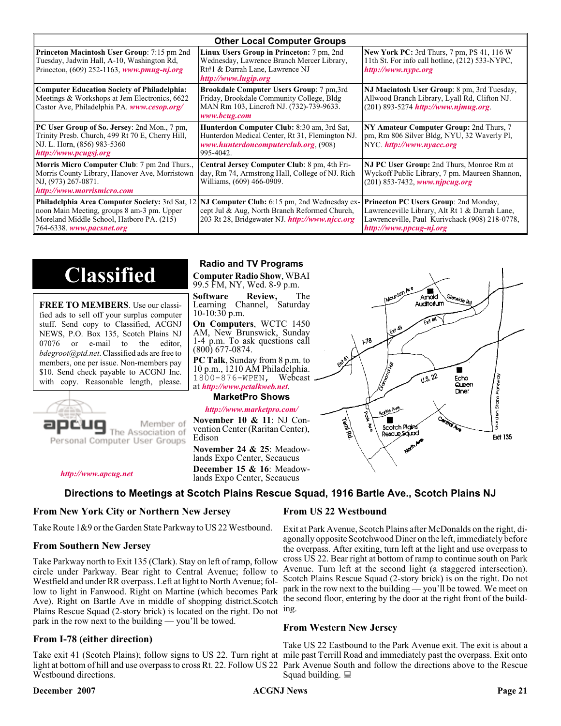| <b>Other Local Computer Groups</b>                                                                                                                         |                                                                                                                                                                                                        |                                                                                                                                                                             |  |  |
|------------------------------------------------------------------------------------------------------------------------------------------------------------|--------------------------------------------------------------------------------------------------------------------------------------------------------------------------------------------------------|-----------------------------------------------------------------------------------------------------------------------------------------------------------------------------|--|--|
| <b>Princeton Macintosh User Group:</b> 7:15 pm 2nd<br>Tuesday, Jadwin Hall, A-10, Washington Rd,<br>Princeton, $(609)$ 252-1163, www.pmug-nj.org           | Linux Users Group in Princeton: 7 pm, 2nd<br>Wednesday, Lawrence Branch Mercer Library,<br>Rt#1 & Darrah Lane, Lawrence NJ<br>http://www.lugip.org                                                     | <b>New York PC:</b> 3rd Thurs, 7 pm, PS 41, 116 W<br>11th St. For info call hotline, (212) 533-NYPC,<br>http://www.nypc.org                                                 |  |  |
| <b>Computer Education Society of Philadelphia:</b><br>Meetings & Workshops at Jem Electronics, 6622<br>Castor Ave, Philadelphia PA. www.cesop.org/         | <b>Brookdale Computer Users Group:</b> 7 pm, 3rd<br>Friday, Brookdale Community College, Bldg<br>MAN Rm 103, Lincroft NJ. (732)-739-9633.<br>www.bcug.com                                              | NJ Macintosh User Group: 8 pm, 3rd Tuesday,<br>Allwood Branch Library, Lyall Rd, Clifton NJ.<br>$(201)$ 893-5274 http://www.njmug.org.                                      |  |  |
| PC User Group of So. Jersey: 2nd Mon., 7 pm,<br>Trinity Presb. Church, 499 Rt 70 E, Cherry Hill,<br>NJ. L. Horn, (856) 983-5360<br>http://www.pcugsj.org   | Hunterdon Computer Club: 8:30 am, 3rd Sat,<br>Hunterdon Medical Center, Rt 31, Flemington NJ.<br>www.hunterdoncomputerclub.org (908)<br>995-4042.                                                      | NY Amateur Computer Group: 2nd Thurs, 7<br>pm, Rm 806 Silver Bldg, NYU, 32 Waverly Pl,<br>NYC.http://www.nyacc.org                                                          |  |  |
| <b>Morris Micro Computer Club:</b> 7 pm 2nd Thurs.,<br>Morris County Library, Hanover Ave, Morristown<br>NJ, (973) 267-0871.<br>http://www.morrismicro.com | Central Jersey Computer Club: 8 pm, 4th Fri-<br>day, Rm 74, Armstrong Hall, College of NJ. Rich<br>Williams, (609) 466-0909.                                                                           | NJ PC User Group: 2nd Thurs, Monroe Rm at<br>Wyckoff Public Library, 7 pm. Maureen Shannon,<br>$(201)$ 853-7432, www.njpcug.org                                             |  |  |
| noon Main Meeting, groups 8 am-3 pm. Upper<br>Moreland Middle School, Hatboro PA. (215)<br>764-6338. www.pacsnet.org                                       | <b>Philadelphia Area Computer Society: 3rd Sat, 12 NJ Computer Club: 6:15 pm, 2nd Wednesday ex-</b><br>cept Jul & Aug, North Branch Reformed Church,<br>203 Rt 28, Bridgewater NJ. http://www.njcc.org | <b>Princeton PC Users Group: 2nd Monday,</b><br>Lawrenceville Library, Alt Rt 1 & Darrah Lane,<br>Lawrenceville, Paul Kurivchack (908) 218-0778,<br>http://www.ppcug-nj.org |  |  |

# **Classified**

**FREE TO MEMBERS**. Use our classified ads to sell off your surplus computer stuff. Send copy to Classified, ACGNJ NEWS, P.O. Box 135, Scotch Plains NJ 07076 or e-mail to the editor, *bdegroot@ptd.net*. Classified ads are free to members, one per issue. Non-members pay \$10. Send check payable to ACGNJ Inc. with copy. Reasonable length, please.



Member of The Association of

*<http://www.apcug.net>*

#### **Radio and TV Programs**

**Computer Radio Show**, WBAI 99.5 FM, NY, Wed. 8-9 p.m.

**Software Review,** The Learning Channel, Saturday 10-10:30 p.m.

**On Computers**, WCTC 1450 AM, New Brunswick, Sunday 1-4 p.m. To ask questions call (800) 677-0874.

**PC Talk**, Sunday from 8 p.m. to 10 p.m., 1210 AM Philadelphia. 1800-876-WPEN, Webcast at *<http://www.pctalkweb.net>*.

#### **MarketPro Shows**

#### *<http://www.marketpro.com/>*

**November 10 & 11**: NJ Convention Center (Raritan Center), Edison

**December 15 & 16**: Meadow-<br>lands Expo Center, Secaucus



 $178$ 

# **Directions to Meetings at Scotch Plains Rescue Squad, 1916 Bartle Ave., Scotch Plains NJ**

#### **From New York City or Northern New Jersey**

Take Route 1&9 or the Garden State Parkway to US 22 Westbound.

#### **From Southern New Jersey**

Take Parkway north to Exit 135 (Clark). Stay on left of ramp, follow circle under Parkway. Bear right to Central Avenue; follow to Westfield and under RR overpass. Left at light to North Avenue; follow to light in Fanwood. Right on Martine (which becomes Park Ave). Right on Bartle Ave in middle of shopping district.Scotch Plains Rescue Squad (2-story brick) is located on the right. Do not ing. park in the row next to the building — you'll be towed.

### **From I-78 (either direction)**

Take exit 41 (Scotch Plains); follow signs to US 22. Turn right at mile past Terrill Road and immediately past the overpass. Exit onto light at bottom of hill and use overpass to cross Rt. 22. Follow US 22 Park Avenue South and follow the directions above to the Rescue Westbound directions.

#### **December 2007 CONS Page 21 CONS Page 21 Page 21**

### **From US 22 Westbound**

Exit at Park Avenue, Scotch Plains after McDonalds on the right, diagonally opposite Scotchwood Diner on the left, immediately before the overpass. After exiting, turn left at the light and use overpass to cross US 22. Bear right at bottom of ramp to continue south on Park Avenue. Turn left at the second light (a staggered intersection). Scotch Plains Rescue Squad (2-story brick) is on the right. Do not park in the row next to the building — you'll be towed. We meet on the second floor, entering by the door at the right front of the build-

 $\blacksquare$ Amold **Auditorium** 

 $\sqrt{1.5 \cdot 22}$ 

Fcho

Queen Diner

### **From Western New Jersey**

Take US 22 Eastbound to the Park Avenue exit. The exit is about a Squad building.  $\Box$